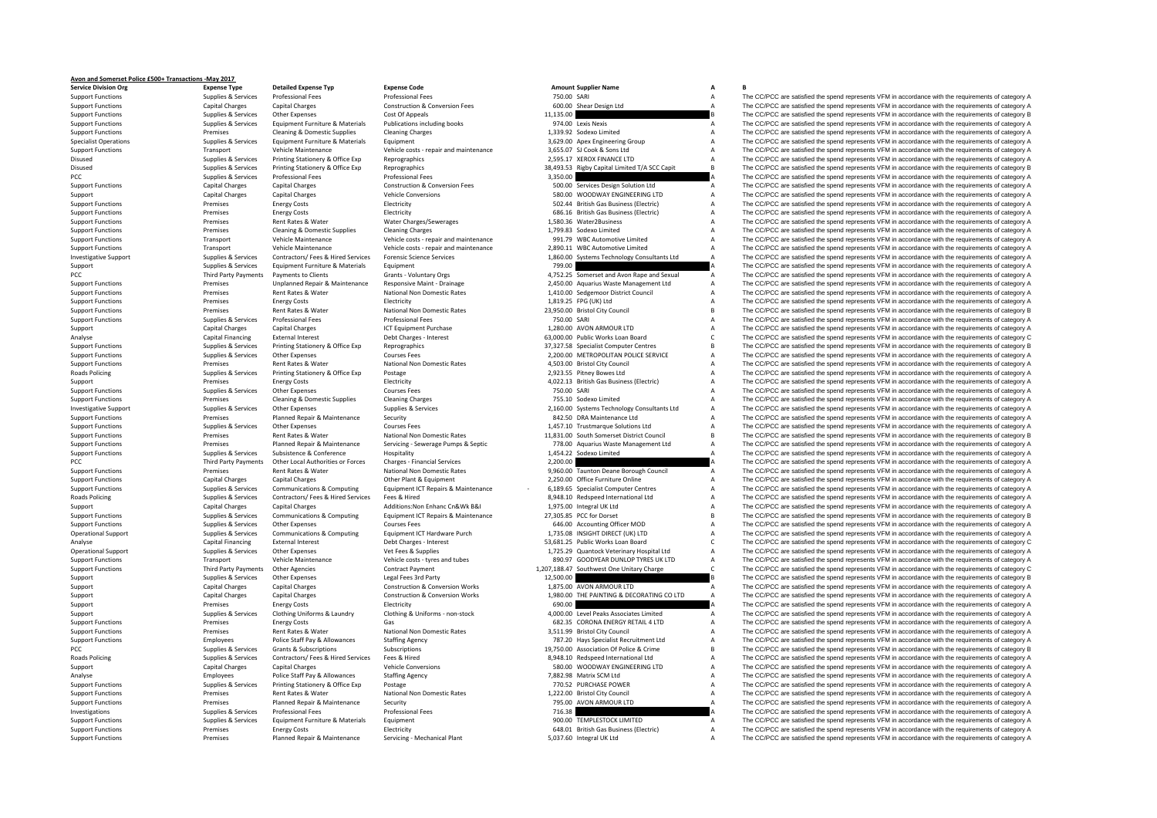## **Avon and Somerset Police £500+ Transactions ‐May 2017**

**Service DivisionPCC Third Party Payments Roads Policing** PCC Third Third Third Third Third Third Third Third Third Third Third Third Third Third Third Third Third Third **Roads Policing Roads Policing** 

**Org Expense Type Detailed Expense Typ Expense Code Amount Supplier Name A B**

| 750.00 SARI            |                                                                       | A                   |
|------------------------|-----------------------------------------------------------------------|---------------------|
| 600.00                 | Shear Design Ltd                                                      | A                   |
| 11,135.00              |                                                                       | B                   |
| 974.00                 | Lexis Nexis                                                           | A                   |
|                        | 1,339.92 Sodexo Limited                                               | A                   |
|                        | 3,629.00 Apex Engineering Group                                       | A<br>A              |
|                        | 3,655.07 SJ Cook & Sons Ltd<br>2,595.17 XEROX FINANCE LTD             | A                   |
|                        | 38,493.53 Rigby Capital Limited T/A SCC Capit                         | B                   |
| 3,350.00               |                                                                       | A                   |
|                        | 500.00 Services Design Solution Ltd                                   | A                   |
|                        | 580.00 WOODWAY ENGINEERING LTD                                        | A                   |
|                        | 502.44 British Gas Business (Electric)                                | A                   |
|                        | 686.16 British Gas Business (Electric)                                | A                   |
|                        | 1,580.36 Water2Business                                               | A                   |
|                        | 1,799.83 Sodexo Limited                                               | A                   |
|                        | 991.79 WBC Automotive Limited<br>2,890.11 WBC Automotive Limited      | A<br>A              |
|                        | 1,860.00 Systems Technology Consultants Ltd                           | A                   |
| 799.00                 |                                                                       | A                   |
|                        | 4,752.25 Somerset and Avon Rape and Sexual                            | A                   |
|                        | 2,450.00 Aquarius Waste Management Ltd                                | A                   |
|                        | 1,410.00 Sedgemoor District Council                                   | A                   |
|                        | 1,819.25 FPG (UK) Ltd                                                 | A                   |
|                        | 23,950.00 Bristol City Council                                        | B                   |
| 750.00 SARI            |                                                                       | A                   |
|                        | 1,280.00 AVON ARMOUR LTD                                              | A                   |
|                        | 63,000.00 Public Works Loan Board                                     | c                   |
|                        | 37,327.58 Specialist Computer Centres                                 | B                   |
|                        | 2,200.00 METROPOLITAN POLICE SERVICE                                  | A                   |
|                        | 4,503.00 Bristol City Council                                         | A<br>$\overline{A}$ |
|                        | 2,923.55 Pitney Bowes Ltd<br>4,022.13 British Gas Business (Electric) | A                   |
| 750.00 SARI            |                                                                       | A                   |
|                        | 755.10 Sodexo Limited                                                 | A                   |
|                        | 2,160.00 Systems Technology Consultants Ltd                           | A                   |
|                        | 842.50 DRA Maintenance Ltd                                            | A                   |
|                        | 1,457.10 Trustmarque Solutions Ltd                                    | A                   |
|                        | 11,831.00 South Somerset District Council                             | B                   |
|                        | 778.00 Aquarius Waste Management Ltd                                  | A                   |
|                        | 1,454.22 Sodexo Limited                                               | A                   |
| 2,200.00<br>9,960.00   | Taunton Deane Borough Council                                         | A<br>A              |
|                        | 2,250.00 Office Furniture Online                                      | A                   |
| 6,189.65               | <b>Specialist Computer Centres</b>                                    | Α                   |
|                        | 8,948.10 Redspeed International Ltd                                   | Α                   |
|                        | 1,975.00 Integral UK Ltd                                              | Α                   |
|                        | 27,305.85 PCC for Dorset                                              | B                   |
|                        | 646.00 Accounting Officer MOD                                         | Α                   |
|                        | 1,735.08 INSIGHT DIRECT (UK) LTD                                      | A                   |
|                        | 53,681.25 Public Works Loan Board                                     | c                   |
|                        | 1,725.29 Quantock Veterinary Hospital Ltd                             | A<br>A              |
| 890.97<br>1,207,188.47 | GOODYEAR DUNLOP TYRES UK LTD                                          |                     |
|                        |                                                                       |                     |
|                        | Southwest One Unitary Charge                                          | c                   |
| 12,500.00              |                                                                       | B<br>A              |
|                        | 1,875.00 AVON ARMOUR LTD                                              | A                   |
| 690.00                 | 1,980.00 THE PAINTING & DECORATING CO LTD                             | A                   |
|                        | 4,000.00 Level Peaks Associates Limited                               | Α                   |
|                        | 682.35 CORONA ENERGY RETAIL 4 LTD                                     | A                   |
|                        | 3,511.99 Bristol City Council                                         | A                   |
|                        | 787.20 Hays Specialist Recruitment Ltd                                | A                   |
|                        | 19,750.00 Association Of Police & Crime                               | B                   |
|                        | 8,948.10 Redspeed International Ltd                                   | A                   |
|                        | 580.00 WOODWAY ENGINEERING LTD                                        | A                   |
|                        | 7,882.98 Matrix SCM Ltd                                               | A                   |
|                        | 770.52 PURCHASE POWER                                                 | A                   |
| 795.00                 | 1,222.00 Bristol City Council                                         | A<br>A              |
| 716.38                 | AVON ARMOUR LTD                                                       | A                   |
| 900.00                 | <b>TEMPLESTOCK LIMITED</b>                                            | A                   |
| 648.01<br>5,037.60     | <b>British Gas Business (Electric)</b><br>Integral UK Ltd             | A<br>A              |

Support Functions Supplies & Services Professional Fees Professional Fees Professional Fees Professional Fees Professional Fees Professional Fees Professional Fees Professional Fees Professional Fees 750.00 SARI A The CC/P Support Functions Capital Charges Capital Charges Capital Charges Construction & Conversion Fees 600.00 Shear Design Ltd A The CC/PCC are satisfied the spend represents VFM in accordance with the requirements of category B Support Functions Supplies & Services Other Expenses Cost Of Appeals Cost Of Appeals Cost Of Appeals Cost Of Appeals 11,135.00 B The CC/PCC are satisfied the spend represents VFM in accordance with the requirements of cate The CC/PCC are satisfied the spend represents VFM in accordance with the requirements of category A Support Functions Premises Continent Premises Cleaning & Domestic Supplies Cleaning Charges 2, 239.92 Sodexo Limited A The CC/PCC are satisfied the spend represents VFM in accordance with the requirements of category A The  $\frac{3.629.00}{2.629.00}$  Apex Engineering Group  $\frac{M}{\sqrt{2}}$  The CC/PCC are satisfied the spend represents VEM in accordance with the requirements of category A  $\sum_{i=1}^{N}$  Support Functions  $\sum_{i=1}^{N}$  Transport Vehicle Maintenance Vehicle Costs • repair and maintenance  $\sum_{i=1}^{N}$  a  $\sum_{i=1}^{N}$   $\sum_{i=1}^{N}$   $\sum_{i=1}^{N}$  a  $\sum_{i=1}^{N}$   $\sum_{i=1}^{N}$  a  $\sum_{i=1}^{N}$   $\sum_{i=1}^{N}$ Disused Supplies & Services Printing Stationery & Office Exp Reprographics 2,595.17 XEROX FINANCE LTD A The CC/PCC are satisfied the spend represents VFM in accordance with the requirements of category A Disused Supplies & Services Printing Stationery & Office Exp Reprographics 38,493.53 Rigby Capital Limited T/A SCC Capit B The CC/PCC are satisfied the spend represents VFM in accordance with the requirements of category B PCC PERSION Supplies & Services Professional Fees Professional Fees Professional Fees Professional Fees Professional Fees 3,350.00 3,350.00 A The CC/PCC are satisfied the spend represents VFM in accordance with the require Support Functions Capital Charges Capital Charges Capital Charges Construction & Conversion Fees 500.00 Services Design Solution Ltd A The CC/PCC are satisfied the spend represents VFM in accordance with the requirements o Support Capital Charges Capital Charges Vehicle Conversions S80.00 WOODWAY ENGINEERING LTD A The CC/PCC are satisfied the spend represents VFM in accordance with the requirements of category A Support Functions Energy Costs Energy Costs Electricity Electricity S02.44 British Gas Business (Flectricity A The CC/PCC are satisfied the spend represents VFM in accordance with the requirements of category A Support Functions Premises Energy Costs Energy Costs Electricity Electricity Electricity Electricity Electricity Electricity and the Support Functions and the spend represents VFM in accordance with the requirements of cat Premises Rent Rates & Water Water Charges/Sewerages 1,580.36 Water2Business A The CC/PCC are satisfied the spend represents VFM in accordance with the requirements of category A Support Functions Premises Cleaning & Domestic Supplies Cleaning Charges Cleaning Charges Cleaning Charges 1,799.83 Sodexo Limited A The CC/PCC are satisfied the spend represents VFM in accordance with the requirements of Support Functions Vehicle costs Support Vehicle costs – repair and maintenance The Maintenance Press and the CC/PCC are satisfied the spend represents VFM in accordance with the requirements of category A The CC/PCC are sa Support Functions Transport Vehicle Maintenance Vehicle costs - repair and maintenance 2,890.11 WBC Automotive Limited A The CC/PCC are satisfied the spend represents VFM in accordance with the requirements of category A I Investigative Support The COPCC are satisfied the spend of the counterpart of the Support of the Support of the Support of the Support of the Support of the COPCC are satisfied the spend represents VFM in accordance with t Support Supplies & Services Equipment Furniture & Materials Equipment Equipment Equipment Equipment Equipment Equipment Equipment Are and The CC/PCC are satisfied the spend represents VFM in accordance with the requirement Payments Payments to Clients Grants - Voluntary Orgs 4,752.25 Somerset and Avon Rape and Sexual A The CC/PCC are satisfied the spend represents VFM in accordance with the requirements of category A Clients and Avon Rape an Support Functions of the premises of the Unplanned Repair & Maintenance Responsive Maintenance Responsive Maintenance Maintenance Caracter 2,450.00 Aquarius Waste Management Ltd A The CC/PCC are satisfied the spend represe The CC/PCC are satisfied the spend represents VFM in accordance with the requirements of category A Support Functions Premises Energy Costs Energy Costs Electricity Electricity Electricity Electricity Electricity 1,819.25 FPG (UK) Ltd A The CC/PCC are satisfied the spend represents VFM in accordance with the requirements Support Functions Premises Professional Rent Rates Rent Rates National Non Domestic Rates 23,950.00 Bristol City Council B The CC/PCC are satisfied the spend represents VFM in accordance with the requirements of category B Professional Fees Professional Fees Professional Fees Professional Fees A The CC/PCC are satisfied the spend represents VFM in accordance with the requirements of category A The CC/PCC are satisfied the spend represents VF Support Capital Charges Capital Charges Capital Charges ICT Equipment Purchase 1,280.00 AVON ARMOUR LTD A The CC/PCC are satisfied the spend represents VFM in accordance with the requirements of category A Analyse Capital Analyse Capital Financing External Interest Debt Charges - Interest Debt Charges - Interest 63,000.00 Public Works Loan Board C The CC/PCC are satisfied the spend represents VFM in accordance with the requirements of categ Support Functions Supplies & Services Printing Stationery & Office Exp Reprographics Support Stategory B Support Functions and the computer Centres B The CC/PCC are satisfied the spend represents VFM in accordance with the Courses Fees 2,200.00 METROPOLITAN POLICE SERVICE A The CC/PCC are satisfied the spend represents VFM in accordance with the requirements of category A Support Functions and Premises Rent Rates & Water National Non Domestic Rates 4,503.00 Bristol City Council A The CC/PCC are satisfied the spend represents VFM in accordance with the requirements of category A Policing Supplies & Services Printing Stationery & Office Exp Postage 2,923.55 Pitney Bowes Ltd A The CC/PCC are satisfied the spend represents VFM in accordance with the requirements of category A Support Premises Energy Costs Electricity Electricity and the spend represents of category A The CC/PCC are satisfied the spend represents VFM in accordance with the requirements of category A Support Functions Supplies & Services Other Expenses Courses Fees Courses Courses Courses Courses Courses Courses Courses Courses Courses Courses 750.00 SARI A The CC/PCC are satisfied the spend represents VFM in accordanc Support Functions Premises Cleaning & Domestic Supplies Cleaning Charges 755.10 Sodexo Limited A The CC/PCC are satisfied the spend represents VFM in accordance with the requirements of category A Investigative Support Supplies & Services Other Expenses Supplies & Services 2,160.00 Systems Technology Consultants Ltd A The CC/PCC are satisfied the spend represents VFM in accordance with the requirements of category A Support Functions Premises Planned Repair & Maintenance Security Security 842.50 DRA Maintenance Ltd A The CC/PCC are satisfied the spend represents VFM in accordance with the requirements of category A Support Functions S Support Functions Supplies & Services Other Expenses Courses Fees Courses The Services Courses Fees 1,457.10 Trustmarque Solutions Ltd A The CC/PCC are satisfied the spend represents VFM in accordance with the requirements Support Functions Premises Rent Rates & Water National Non Domestic Rates 11,831.00 South Somerset District Council B The CC/PCC are satisfied the spend represents VFM in accordance with the requirements of category B<br>Supp The CC/PCC are satisfied the spend represents VFM in accordance with the requirements of category A Support Functions Supplies & Supplies & Support Subsistence Mospitality Hospitality Hospitality 1,454.22 Sodexo Limited A The CC/PCC are satisfied the spend represents VFM in accordance with the requirements of category A Thid Party Payments Other Local Authorities or Forces Pinancial Services 2,200.00 A The CC/PCC are satisfied the spend represents VFM in accordance with the requirements of category A The CC/PCC are satisfied the spend r Support Functions Premises Rent Rates & Water National Non Domestic Rates 9,960.00 Taunton Deane Borough Council A The CC/PCC are satisfied the spend represents VFM in accordance with the requirements of category A Support Support Functions Capital Charges Capital Charges Other Plant & Equipment 2,250.00 Office Furniture Online A The CC/PCC are satisfied the spend represents VFM in accordance with the requirements of category A Supplies & Supplies & Services Communications & Computing Equipment ICT Repairs & Maintenance 6,189.65 Specialist Computer Centres And The CC/PCC are satisfied the spend represents VFM in accordance with the requirements o The CC/PCC are satisfied the spend represents VFM in accordance with the requirements of category A Support Capital Charges Capital Charges Capital Charges Additions:Non Enhanc Cn&Wk B&I 1,975.00 Integral UK Ltd A The CC/PCC are satisfied the spend represents VFM in accordance with the requirements of category B<br>Support Supplies & Supplies & Services Communications & Computing Equipment ICT Repairs & Maintenance 27,305.85 PCC for Dorset B The CC/PCC are satisfied the spend represents VFM in accordance with the requirements of category B<br>S Supplies & Services Courses Courses Fees Courses Fees 646.00 Accounting Officer MOD A The CC/PCC are satisfied the spend represents VFM in accordance with the requirements of category A Operational Support Supplies & Supplies & Services Communications & Computing Equipment ICT Hardware Purch 1,735.08 INSIGHT DIRECT (UK) LTD A The CC/PCC are satisfied the spend represents VFM in accordance with the require Analyse Capital Financing External Interest Debt Charges - Interest Stategory C The CC/PCC are satisfied the spend represents VFM in accordance with the requirements of category C Operational Support Supplies & Services Other Expenses Vet Fees & Supplies Vet Fees & Supplies 1,725.29 Quantock Veterinary Hospital Ltd A The CC/PCC are satisfied the spend represents VFM in accordance with the requiremen Support Functions Transport Vehicle Maintenance Vehicle Costs – tyres and tubes 890.97 GOODYEAR DUNLOP TYRES UK LTD A The CC/PCC are satisfied the spend represents VFM in accordance with the requirements of category A Supp Support Functions Third Party Payments Other Agencies Contract Payment Contract Payment 1,207,188.47 Southwest One Unitary Charge C The CC/PCC are satisfied the spend represents VFM in accordance with the requirements of c Support Supplies & Services Other Expenses Legal Fees 3rd Party 12,500.00 B The CC/PCC are satisfied the spend represents VFM in accordance with the requirements of category B<br>Support Capital Charges Capital Charges Constr Support Capital Charges Capital Charges Construction & Conversion Works 1,875.00 AVON ARMOUR LTD A The CC/PCC are satisfied the spend represents VFM in accordance with the requirements of category A Support Capital Charges Support Capital Charges Capital Charges Construction & Conversion Works 1,980.00 THE PAINTING & DECORATING CO LTD A The CC/PCC are satisfied the spend represents VFM in accordance with the requirements of category A Support Premises Energy Costs Energy Costs Electricity Electricity Electricity Electricity Electricity Electricity Electricity and the spend of the COMENN of the spend represents VFM in accordance with the requirements of Supplies & Services Clothing Uniforms & Laundry Clothing & Uniforms - non-stock 4,000.00 Level Peaks Associates Limited The CC/PCC are satisfied the spend represents VFM in accordance with the requirements of category A<br>Su Premises Energy Costs Gas Gas Gas CORONA ENERGY RETAIL 4 LTD A The CC/PCC are satisfied the spend represents VFM in accordance with the requirements of category A Support Functions Premises Rent Rates & Water Mational Non Domestic Rates 3,511.99 Bristol City Council A The CC/PCC are satisfied the spend represents VFM in accordance with the requirements of category A Support Function Support Functions Employees Police Staff Pay & Allowances Staffing Agency Staff Pay Agency 787.20 Hays Specialist Recruitment Ltd A The CC/PCC are satisfied the spend represents VFM in accordance with the requirements of c Crimics Crimics Subscriptions Subscriptions (Subscriptions and the Subscriptions of the Subscriptions of the Subscriptions 19,750.00 Association Of Police & Crime B The CC/PCC are satisfied the spend represents VFM in acco Policing Supplies & Services Contractors/ Fees & Hired Services Fees & Hired 8,948.10 Redspeed International Ltd <sup>A</sup> The CC/PCC are satisfied the spend represents VFM in accordance with the requirements of category A Support Capital Charges Capital Charges Vehicle Conversions S80.00 WOODWAY ENGINEERING LTD A The CC/PCC are satisfied the spend represents VFM in accordance with the requirements of category A Analyse Employees Police Staff Pay & Allowances Staffing Agency 7,882.98 Matrix SCM Ltd A The CC/PCC are satisfied the spend represents VFM in accordance with the requirements of category A Support Functions Supplies & Services Printing Stationery & Office Exp Postage Postage Postage 770.52 PURCHASE POWER The CC/PCC are satisfied the spend represents VFM in accordance with the requirements of category A Natio Support Functions Premises Rent Rates & Water National Non Domestic Rates 1,222.00 Bristol City Council A The CC/PCC are satisfied the spend represents VFM in accordance with the requirements of category A Support Functions Premises Planned Repair & Maintenance Security Security 795.00 AVON ARMOUR LTD A The CC/PCC are satisfied the spend represents VFM in accordance with the requirements of category A<br>
1999 Investigations an Investigations Supplies & Services Professional Fees Professional Fees Professional Fees Professional Fees Professional Fees 716.38 A The CC/PCC are satisfied the spend represents VFM in accordance with the requirements of Support Functions Supplies & Services Equipment Furniture & Materials Equipment extensions and the spend the spend represents of category A The CC/PCC are satisfied the spend represents VFM in accordance with the requireme Support Functions Support Functions Premises Energy Costs Electricity Electricity Costs Electricity and the COLOGIES CONSULTING CONSULTING CONSULTING CONSULTING CONSULTING A The COVPCC are satisfied the spend represents VF Support Functions Premises Planned Repair & Maintenance Servicing - Mechanical Plant 5,037.60 Integral UK Ltd A The CC/PCC are satisfied the spend represents VFM in accordance with the requirements of category A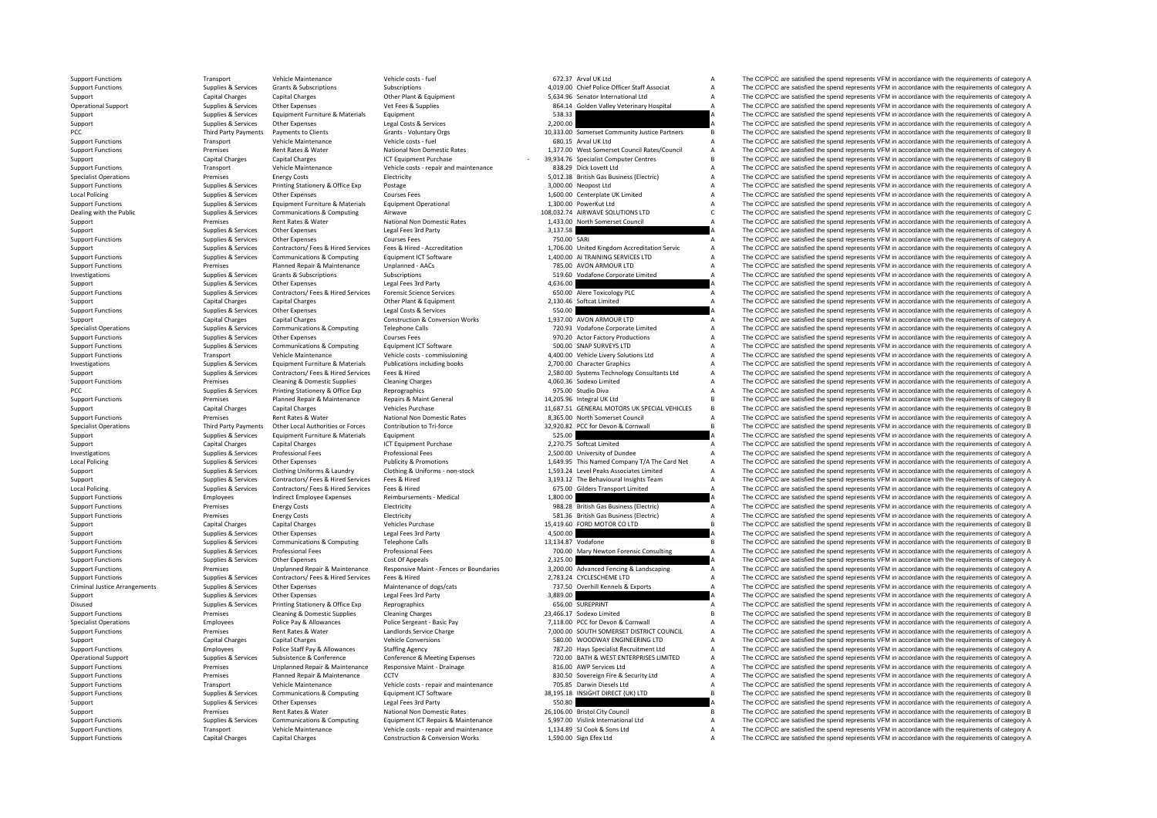| <b>Support Functions</b>                             | Transport                           | Vehicle Maintenance                           | Vehicle costs - fuel                                                      |             | 672.37 Arval UK Ltd                                   |                | The CC/PCC are satisfied the spend represents VFM in accordance with the requirements of category A                                                                                                        |
|------------------------------------------------------|-------------------------------------|-----------------------------------------------|---------------------------------------------------------------------------|-------------|-------------------------------------------------------|----------------|------------------------------------------------------------------------------------------------------------------------------------------------------------------------------------------------------------|
| <b>Support Functions</b>                             | Supplies & Services                 | Grants & Subscriptions                        | Subscriptions                                                             |             | 4,019.00 Chief Police Officer Staff Associat          | A              | The CC/PCC are satisfied the spend represents VFM in accordance with the requirements of category A                                                                                                        |
| Support                                              | Capital Charges                     | <b>Capital Charges</b>                        | Other Plant & Equipment                                                   |             | 5,634.96 Senator International Ltd                    |                | The CC/PCC are satisfied the spend represents VFM in accordance with the requirements of category A                                                                                                        |
|                                                      |                                     |                                               |                                                                           |             |                                                       | A              |                                                                                                                                                                                                            |
| <b>Operational Support</b>                           | Supplies & Services                 | Other Expenses                                | Vet Fees & Supplies                                                       |             | 864.14 Golden Valley Veterinary Hospital              |                | The CC/PCC are satisfied the spend represents VFM in accordance with the requirements of category A                                                                                                        |
| Support                                              | Supplies & Services                 | Equipment Furniture & Materials               | Equipment                                                                 | 538.33      |                                                       |                | The CC/PCC are satisfied the spend represents VFM in accordance with the requirements of category A                                                                                                        |
| Support                                              | Supplies & Services                 | Other Expenses                                | Legal Costs & Services                                                    | 2,200.00    |                                                       |                | The CC/PCC are satisfied the spend represents VFM in accordance with the requirements of category A                                                                                                        |
| PCC                                                  | Third Party Payments                | Payments to Clients                           | Grants - Voluntary Orgs                                                   |             | 10,333.00 Somerset Community Justice Partners         |                | The CC/PCC are satisfied the spend represents VFM in accordance with the requirements of category B                                                                                                        |
| <b>Support Functions</b>                             | Transport                           | Vehicle Maintenance                           | Vehicle costs - fuel                                                      |             | 680.15 Arval UK Ltd                                   | A              | The CC/PCC are satisfied the spend represents VFM in accordance with the requirements of category A                                                                                                        |
|                                                      |                                     |                                               |                                                                           |             |                                                       |                | The CC/PCC are satisfied the spend represents VFM in accordance with the requirements of category A                                                                                                        |
| <b>Support Functions</b>                             | Premises                            | Rent Rates & Water                            | National Non Domestic Rates                                               |             | 1,377.00 West Somerset Council Rates/Council          |                |                                                                                                                                                                                                            |
| Support                                              | Capital Charges                     | <b>Capital Charges</b>                        | <b>ICT Equipment Purchase</b>                                             |             | 39,934.76 Specialist Computer Centres                 |                | The CC/PCC are satisfied the spend represents VFM in accordance with the requirements of category B                                                                                                        |
| <b>Support Functions</b>                             | Transport                           | Vehicle Maintenance                           | Vehicle costs - repair and maintenance                                    |             | 838.29 Dick Lovett Ltd                                |                | The CC/PCC are satisfied the spend represents VFM in accordance with the requirements of category A                                                                                                        |
| <b>Specialist Operations</b>                         | Premises                            | <b>Energy Costs</b>                           | Electricity                                                               |             | 5,012.38 British Gas Business (Electric)              |                | The CC/PCC are satisfied the spend represents VFM in accordance with the requirements of category A                                                                                                        |
| <b>Support Functions</b>                             | Supplies & Services                 | Printing Stationery & Office Exp              | Postage                                                                   |             | 3,000.00 Neopost Ltd                                  |                | The CC/PCC are satisfied the spend represents VFM in accordance with the requirements of category A                                                                                                        |
|                                                      |                                     |                                               |                                                                           |             |                                                       |                |                                                                                                                                                                                                            |
| <b>Local Policing</b>                                | Supplies & Services                 | Other Expenses                                | <b>Courses Fees</b>                                                       |             | 1,600.00 Centerplate UK Limited                       |                | The CC/PCC are satisfied the spend represents VFM in accordance with the requirements of category A                                                                                                        |
| <b>Support Functions</b>                             | Supplies & Services                 | Equipment Furniture & Materials               | <b>Equipment Operational</b>                                              |             | 1.300.00 PowerKut Ltd                                 |                | The CC/PCC are satisfied the spend represents VFM in accordance with the requirements of category A                                                                                                        |
| Dealing with the Public                              | Supplies & Services                 | Communications & Computing                    | Airwave                                                                   |             | 108,032.74 AIRWAVE SOLUTIONS LTD                      | c              | The CC/PCC are satisfied the spend represents VFM in accordance with the requirements of category C                                                                                                        |
| Support                                              | Premises                            | Rent Rates & Water                            | National Non Domestic Rates                                               |             | 1,433.00 North Somerset Council                       | $\overline{A}$ | The CC/PCC are satisfied the spend represents VFM in accordance with the requirements of category A                                                                                                        |
|                                                      |                                     |                                               |                                                                           |             |                                                       |                |                                                                                                                                                                                                            |
| Support                                              | Supplies & Services                 | Other Expenses                                | Legal Fees 3rd Party                                                      | 3,137.58    |                                                       |                | The CC/PCC are satisfied the spend represents VFM in accordance with the requirements of category A                                                                                                        |
| <b>Support Functions</b>                             | Supplies & Services                 | Other Expenses                                | Courses Fees                                                              | 750.00 SARI |                                                       |                | The CC/PCC are satisfied the spend represents VFM in accordance with the requirements of category A                                                                                                        |
| Support                                              | Supplies & Services                 | Contractors/ Fees & Hired Services            | Fees & Hired - Accreditation                                              |             | 1,706.00 United Kingdom Accreditation Servic          |                | The CC/PCC are satisfied the spend represents VFM in accordance with the requirements of category A                                                                                                        |
| <b>Support Functions</b>                             | Supplies & Services                 | Communications & Computing                    | Equipment ICT Software                                                    |             | 1,400.00 AI TRAINING SERVICES LTD                     |                | The CC/PCC are satisfied the spend represents VFM in accordance with the requirements of category A                                                                                                        |
|                                                      | Premises                            | Planned Repair & Maintenance                  | Unplanned - AACs                                                          |             | 785.00 AVON ARMOUR LTD                                |                | The CC/PCC are satisfied the spend represents VFM in accordance with the requirements of category A                                                                                                        |
| <b>Support Functions</b>                             |                                     |                                               |                                                                           |             |                                                       |                |                                                                                                                                                                                                            |
| Investigations                                       | Supplies & Services                 | <b>Grants &amp; Subscriptions</b>             | Subscriptions                                                             |             | 519.60 Vodafone Corporate Limited                     |                | The CC/PCC are satisfied the spend represents VFM in accordance with the requirements of category A                                                                                                        |
| Support                                              | Supplies & Services                 | Other Expenses                                | Legal Fees 3rd Party                                                      | 4,636.00    |                                                       |                | The CC/PCC are satisfied the spend represents VFM in accordance with the requirements of category A                                                                                                        |
| <b>Support Functions</b>                             | Supplies & Services                 | Contractors/ Fees & Hired Services            | <b>Forensic Science Services</b>                                          |             | 650.00 Alere Toxicology PLC                           |                | The CC/PCC are satisfied the spend represents VFM in accordance with the requirements of category A                                                                                                        |
| Support                                              | <b>Capital Charges</b>              | <b>Capital Charges</b>                        | Other Plant & Equipment                                                   |             | 2,130.46 Softcat Limited                              | $\overline{A}$ | The CC/PCC are satisfied the spend represents VFM in accordance with the requirements of category A                                                                                                        |
|                                                      |                                     |                                               |                                                                           |             |                                                       |                |                                                                                                                                                                                                            |
| <b>Support Functions</b>                             | Supplies & Services                 | Other Expenses                                | Legal Costs & Services                                                    | 550.00      |                                                       |                | The CC/PCC are satisfied the spend represents VFM in accordance with the requirements of category A                                                                                                        |
| Support                                              | <b>Capital Charges</b>              | <b>Capital Charges</b>                        | <b>Construction &amp; Conversion Works</b>                                |             | 1.937.00 AVON ARMOUR LTD                              |                | The CC/PCC are satisfied the spend represents VFM in accordance with the requirements of category A                                                                                                        |
| <b>Specialist Operations</b>                         | Supplies & Services                 | Communications & Computing                    | <b>Telephone Calls</b>                                                    |             | 720.93 Vodafone Corporate Limited                     |                | The CC/PCC are satisfied the spend represents VFM in accordance with the requirements of category A                                                                                                        |
| <b>Support Functions</b>                             | Supplies & Services                 | Other Expenses                                | <b>Courses Fees</b>                                                       |             | 970.20 Actor Factory Productions                      |                | The CC/PCC are satisfied the spend represents VFM in accordance with the requirements of category A                                                                                                        |
|                                                      |                                     |                                               |                                                                           |             |                                                       |                |                                                                                                                                                                                                            |
| <b>Support Functions</b>                             | Supplies & Services                 | Communications & Computing                    | Equipment ICT Software                                                    |             | 500.00 SNAP SURVEYS LTD                               |                | The CC/PCC are satisfied the spend represents VFM in accordance with the requirements of category A                                                                                                        |
| <b>Support Functions</b>                             | Transport                           | Vehicle Maintenance                           | Vehicle costs - commissioning                                             |             | 4,400.00 Vehicle Livery Solutions Ltd                 |                | The CC/PCC are satisfied the spend represents VFM in accordance with the requirements of category A                                                                                                        |
| Investigations                                       | Supplies & Services                 | Equipment Furniture & Materials               | Publications including books                                              |             | 2,700.00 Character Graphics                           |                | The CC/PCC are satisfied the spend represents VFM in accordance with the requirements of category A                                                                                                        |
| Support                                              | Supplies & Services                 | Contractors/ Fees & Hired Services            | Fees & Hired                                                              |             | 2,580.00 Systems Technology Consultants Ltd           |                | The CC/PCC are satisfied the spend represents VFM in accordance with the requirements of category A                                                                                                        |
|                                                      |                                     |                                               |                                                                           |             |                                                       |                |                                                                                                                                                                                                            |
| <b>Support Functions</b>                             | Premises                            | Cleaning & Domestic Supplies                  | <b>Cleaning Charges</b>                                                   |             | 4,060.36 Sodexo Limited                               |                | The CC/PCC are satisfied the spend represents VFM in accordance with the requirements of category A                                                                                                        |
| PCC                                                  | Supplies & Services                 | Printing Stationery & Office Exp              | Reprographics                                                             |             | 975.00 Studio Diva                                    |                | The CC/PCC are satisfied the spend represents VFM in accordance with the requirements of category A                                                                                                        |
| <b>Support Functions</b>                             | Premises                            | Planned Repair & Maintenance                  | Repairs & Maint General                                                   |             | 14,205.96 Integral UK Ltd                             |                | The CC/PCC are satisfied the spend represents VFM in accordance with the requirements of category B                                                                                                        |
| Support                                              | <b>Capital Charges</b>              | <b>Capital Charges</b>                        | Vehicles Purchase                                                         |             | 11,687.51 GENERAL MOTORS UK SPECIAL VEHICLES          | $\mathsf{B}$   | The CC/PCC are satisfied the spend represents VFM in accordance with the requirements of category B                                                                                                        |
|                                                      | Premises                            | Rent Rates & Water                            |                                                                           |             | 8,365.00 North Somerset Council                       |                | The CC/PCC are satisfied the spend represents VFM in accordance with the requirements of category A                                                                                                        |
| <b>Support Functions</b>                             |                                     |                                               | National Non Domestic Rates                                               |             |                                                       |                |                                                                                                                                                                                                            |
| <b>Specialist Operations</b>                         | Third Party Payments                | Other Local Authorities or Forces             | Contribution to Tri-force                                                 |             | 32,920.82 PCC for Devon & Cornwall                    |                | The CC/PCC are satisfied the spend represents VFM in accordance with the requirements of category B                                                                                                        |
| Support                                              | Supplies & Services                 | Equipment Furniture & Materials               | Equipment                                                                 | 525.00      |                                                       |                | The CC/PCC are satisfied the spend represents VFM in accordance with the requirements of category A                                                                                                        |
| Support                                              | Capital Charges                     | <b>Capital Charges</b>                        | <b>ICT Equipment Purchase</b>                                             |             | 2,270.75 Softcat Limited                              |                | The CC/PCC are satisfied the spend represents VFM in accordance with the requirements of category A                                                                                                        |
| Investigations                                       | Supplies & Services                 | Professional Fees                             | Professional Fees                                                         |             | 2,500.00 University of Dundee                         |                | The CC/PCC are satisfied the spend represents VFM in accordance with the requirements of category A                                                                                                        |
|                                                      |                                     |                                               |                                                                           |             |                                                       |                |                                                                                                                                                                                                            |
| <b>Local Policing</b>                                | Supplies & Services                 | Other Expenses                                | <b>Publicity &amp; Promotions</b>                                         |             | 1,649.95 This Named Company T/A The Card Net          |                | The CC/PCC are satisfied the spend represents VFM in accordance with the requirements of category A                                                                                                        |
| Support                                              | Supplies & Services                 | Clothing Uniforms & Laundry                   | Clothing & Uniforms - non-stock                                           |             | 1,593.24 Level Peaks Associates Limited               |                | The CC/PCC are satisfied the spend represents VFM in accordance with the requirements of category A                                                                                                        |
| Support                                              | Supplies & Services                 | Contractors/ Fees & Hired Services            | Fees & Hired                                                              |             | 3,193.12 The Behavioural Insights Team                |                | The CC/PCC are satisfied the spend represents VFM in accordance with the requirements of category A                                                                                                        |
| <b>Local Policing</b>                                | Supplies & Services                 | Contractors/ Fees & Hired Services            | Fees & Hired                                                              |             | 675.00 Gilders Transport Limited                      |                | The CC/PCC are satisfied the spend represents VFM in accordance with the requirements of category A                                                                                                        |
|                                                      |                                     |                                               |                                                                           |             |                                                       |                |                                                                                                                                                                                                            |
| <b>Support Functions</b>                             | Employees                           | Indirect Employee Expenses                    | Reimbursements - Medical                                                  | 1,800.00    |                                                       |                | The CC/PCC are satisfied the spend represents VFM in accordance with the requirements of category A                                                                                                        |
| <b>Support Functions</b>                             | Premises                            | <b>Energy Costs</b>                           | Electricity                                                               |             | 988.28 British Gas Business (Electric)                |                | The CC/PCC are satisfied the spend represents VFM in accordance with the requirements of category A                                                                                                        |
| <b>Support Functions</b>                             | Premises                            | <b>Energy Costs</b>                           | Electricity                                                               |             | 581.36 British Gas Business (Electric)                |                | The CC/PCC are satisfied the spend represents VFM in accordance with the requirements of category A                                                                                                        |
| Support                                              | <b>Capital Charges</b>              | <b>Capital Charges</b>                        | Vehicles Purchase                                                         |             | 15,419.60 FORD MOTOR CO LTD                           |                | The CC/PCC are satisfied the spend represents VFM in accordance with the requirements of category B                                                                                                        |
|                                                      |                                     |                                               |                                                                           |             |                                                       |                |                                                                                                                                                                                                            |
| Support                                              | Supplies & Services                 | Other Expenses                                | Legal Fees 3rd Party                                                      | 4,500.00    |                                                       |                | The CC/PCC are satisfied the spend represents VFM in accordance with the requirements of category A                                                                                                        |
| <b>Support Functions</b>                             | Supplies & Services                 | Communications & Computing                    | <b>Telephone Calls</b>                                                    |             | 13,134.87 Vodafone                                    |                | The CC/PCC are satisfied the spend represents VFM in accordance with the requirements of category B                                                                                                        |
| <b>Support Functions</b>                             | Supplies & Services                 | Professional Fees                             | <b>Professional Fees</b>                                                  |             | 700.00 Mary Newton Forensic Consulting                |                | The CC/PCC are satisfied the spend represents VFM in accordance with the requirements of category A                                                                                                        |
| <b>Support Functions</b>                             | Supplies & Services                 | Other Expenses                                | Cost Of Appeals                                                           | 2.325.00    |                                                       |                | The CC/PCC are satisfied the spend represents VFM in accordance with the requirements of category A                                                                                                        |
|                                                      |                                     | Unplanned Repair & Maintenance                |                                                                           |             |                                                       |                |                                                                                                                                                                                                            |
| <b>Support Functions</b>                             | Premises                            |                                               | Responsive Maint - Fences or Boundaries                                   |             | 3,200.00 Advanced Fencing & Landscaping               |                | The CC/PCC are satisfied the spend represents VFM in accordance with the requirements of category A                                                                                                        |
| <b>Support Functions</b>                             |                                     |                                               |                                                                           |             |                                                       |                |                                                                                                                                                                                                            |
| <b>Criminal Justice Arrangements</b>                 | Supplies & Services                 | Contractors/ Fees & Hired Services            | Fees & Hired                                                              |             | 2,783.24 CYCLESCHEME LTD                              |                | The CC/PCC are satisfied the spend represents VFM in accordance with the requirements of category A                                                                                                        |
|                                                      | Supplies & Services                 | Other Expenses                                | Maintenance of dogs/cats                                                  |             | 737.50 Overhill Kennels & Exports                     |                | The CC/PCC are satisfied the spend represents VFM in accordance with the requirements of category A                                                                                                        |
|                                                      |                                     |                                               |                                                                           |             |                                                       |                |                                                                                                                                                                                                            |
| Support                                              | Supplies & Services                 | Other Expenses                                | Legal Fees 3rd Party                                                      | 3,889.00    |                                                       |                | The CC/PCC are satisfied the spend represents VFM in accordance with the requirements of category A                                                                                                        |
| <b>Disused</b>                                       | Supplies & Services                 | Printing Stationery & Office Exp              | Reprographics                                                             |             | 656.00 SUREPRINT                                      |                | The CC/PCC are satisfied the spend represents VFM in accordance with the requirements of category A                                                                                                        |
| <b>Support Functions</b>                             | Premises                            | Cleaning & Domestic Supplies                  | <b>Cleaning Charges</b>                                                   |             | 23,466.17 Sodexo Limited                              |                | The CC/PCC are satisfied the spend represents VFM in accordance with the requirements of category B                                                                                                        |
| <b>Specialist Operations</b>                         | Employees                           | Police Pay & Allowances                       | Police Sergeant - Basic Pay                                               |             | 7,118.00 PCC for Devon & Cornwall                     | A              | The CC/PCC are satisfied the spend represents VFM in accordance with the requirements of category A                                                                                                        |
| <b>Support Functions</b>                             | Premises                            | Rent Rates & Water                            | Landlords Service Charge                                                  |             | 7,000.00 SOUTH SOMERSET DISTRICT COUNCIL              | А              | The CC/PCC are satisfied the spend represents VFM in accordance with the requirements of category A                                                                                                        |
|                                                      |                                     |                                               |                                                                           |             |                                                       |                |                                                                                                                                                                                                            |
| Support                                              | <b>Capital Charges</b>              | <b>Capital Charges</b>                        | <b>Vehicle Conversions</b>                                                |             | 580.00 WOODWAY ENGINEERING LTD                        | A              | The CC/PCC are satisfied the spend represents VFM in accordance with the requirements of category A                                                                                                        |
| <b>Support Functions</b>                             | Employees                           | Police Staff Pay & Allowances                 | <b>Staffing Agency</b>                                                    |             | 787.20 Hays Specialist Recruitment Ltd                | A              | The CC/PCC are satisfied the spend represents VFM in accordance with the requirements of category A                                                                                                        |
| <b>Operational Support</b>                           | Supplies & Services                 | Subsistence & Conference                      | Conference & Meeting Expenses                                             |             | 720.00 BATH & WEST ENTERPRISES LIMITED                |                | The CC/PCC are satisfied the spend represents VFM in accordance with the requirements of category A                                                                                                        |
| <b>Support Functions</b>                             | Premises                            | Unplanned Repair & Maintenance                | Responsive Maint - Drainage                                               |             | 816.00 AWP Services Ltd                               |                | The CC/PCC are satisfied the spend represents VFM in accordance with the requirements of category A                                                                                                        |
|                                                      |                                     |                                               | CCTV                                                                      |             |                                                       |                |                                                                                                                                                                                                            |
| <b>Support Functions</b>                             | Premises                            | Planned Repair & Maintenance                  |                                                                           |             | 830.50 Sovereign Fire & Security Ltd                  |                | The CC/PCC are satisfied the spend represents VFM in accordance with the requirements of category A                                                                                                        |
| <b>Support Functions</b>                             | Transport                           | Vehicle Maintenance                           | Vehicle costs - repair and maintenance                                    |             | 705.85 Darwin Diesels Ltd                             |                | The CC/PCC are satisfied the spend represents VFM in accordance with the requirements of category A                                                                                                        |
| <b>Support Functions</b>                             | Supplies & Services                 | Communications & Computing                    | Equipment ICT Software                                                    |             | 38,195.18 INSIGHT DIRECT (UK) LTD                     |                | The CC/PCC are satisfied the spend represents VFM in accordance with the requirements of category B                                                                                                        |
| Support                                              | Supplies & Services                 | Other Expenses                                | Legal Fees 3rd Party                                                      | 550.80      |                                                       |                | The CC/PCC are satisfied the spend represents VFM in accordance with the requirements of category A                                                                                                        |
|                                                      |                                     |                                               |                                                                           |             |                                                       |                |                                                                                                                                                                                                            |
| Support                                              | Premises                            | Rent Rates & Water                            | National Non Domestic Rates                                               |             | 26,106.00 Bristol City Council                        |                | The CC/PCC are satisfied the spend represents VFM in accordance with the requirements of category B                                                                                                        |
| <b>Support Functions</b>                             | Supplies & Services                 | Communications & Computing                    | Equipment ICT Repairs & Maintenance                                       |             | 5,997.00 Vislink International Ltd                    |                | The CC/PCC are satisfied the spend represents VFM in accordance with the requirements of category A                                                                                                        |
| <b>Support Functions</b><br><b>Support Functions</b> | Transport<br><b>Capital Charges</b> | Vehicle Maintenance<br><b>Capital Charges</b> | Vehicle costs - repair and maintenance<br>Construction & Conversion Works |             | 1,134.89 SJ Cook & Sons Ltd<br>1,590.00 Sign Efex Ltd |                | The CC/PCC are satisfied the spend represents VFM in accordance with the requirements of category A<br>The CC/PCC are satisfied the spend represents VFM in accordance with the requirements of category A |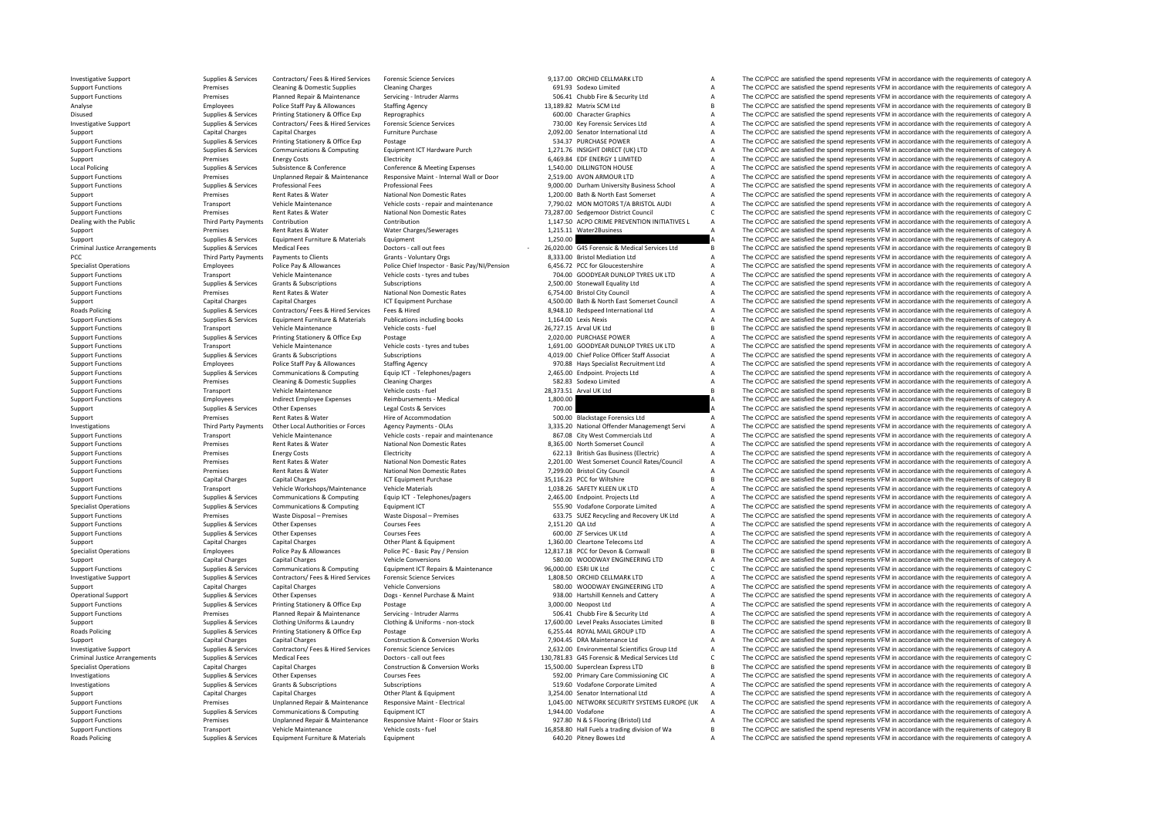Local **Rollcing** Criminal JusticePCC Third Party Payments **Roads Policing Roads Policing** Criminal Justice**Roads Policing** 

Investigative Support Support Supporter Supporter Supporter Contractors/ Fees & Hired Services Forensic Science Services on the Support of the CO/PCC are satisfied the spend represents VFM in accordance with the requiremen Support Functions Premises Cleaning & Domestic Supplies Cleaning Charges Cleaning Charges Cleaning Charges Cleaning Charges Cleaning Charges 691.93 Sodexo Limited A The CC/PCC are satisfied the spend represents VFM in acco Support Functions Premises Planned Repair & Maintenance Servicing – Intruder Alarms 506.41 Chubb Fire & Security Ltd A The CC/PCC are satisfied the spend represents VFM in accordance with the requirements of category A Analyse Employees Police Staff Pay & Allowances Staffing Agency 13,189.82 Matrix SCM Ltd B The CC/PCC are satisfied the spend represents VFM in accordance with the requirements of category B Disused Supplies & Services Pri Disused Supplies & Services Printing Stationery & Office Exp Reprographics Contactes A Contacter Graphics CODID Character Graphics A The CC/PCC are satisfied the spend represents VFM in accordance with the requirements of Investigative Support Support Supporter Supporter Supporter Supporter Supporter Supporter Supporter Supporter Supporter Supporter Supporter Supporter Supporter Support Supporter Supporter Support Supporter Support Supporte Support Capital Charges Capital Charges Furniture Purchase Furniture Purchase 2,092.00 Senator International Ltd A The CC/PCC are satisfied the spend represents VFM in accordance with the requirements of category A Support Printing Stationery & Office Exp Postage Printing Support Functions of category A S4.37 PURCHASE POWER A The CC/PCC are satisfied the spend represents VFM in accordance with the requirements of category A 1.271.76 INSIGHT Supplies & Supplies & Services Communications & Computing Equipment ICT Hardware Purch 1,271.76 INSIGHT DIRECT (UK) LTD A The CC/PCC are satisfied the spend represents VFM in accordance with the requirements of category A Support Premises Energy Costs Electricity Electricity 6,469.84 EDF ENERGY 1 LIMITED A The CC/PCC are satisfied the spend represents VFM in accordance with the requirements of category A<br>A The CC/PCC are satisfied the spend Policing Supplies & Services Subsistence & Conference Conference & Meeting Expenses 1,540.00 DILLINGTON HOUSE A The CC/PCC are satisfied the spend represents VFM in accordance with the requirements of category A Support Functions of the COPCC are satisfied the spend represents VFM in accordance with the requirements of category A<br>Support Functions Support Functions Support Functions Support Professional Fees Professional Fees Prof Professional Fees Professional Fees Professional Fees Professional Fees Professional Fees Professional Fees Professional Fees Professional Fees Professional Fees Professional Fees Professional Fees Professional Fees 1,200. Support Premises Rent Rates & Water National Non Domestic Rates 1,200.00 Bath & North East Somerset A The CC/PCC are satisfied the spend represents VFM in accordance with the requirements of category A Support Functions Transport Calendral Vehicle Maintenance Vehicle Maintenance Vehicle costs - renair and maintenance 7.790.02 MON MOTORS T/A RRISTOL ALIDI A The CC/PCC are satisfied the spend represents VFM in accordance w Support Functions Premises Rent Rates & Water National Non Domestic Rates 73,287.00 Sedgemoor District Council C The CC/PCC are satisfied the spend represents VFM in accordance with the requirements of category C Contribut Dealing with the Public Third Party Payments Contribution Contribution Contribution 1,147.50 ACPO CRIME PREVENTION INITIATIVES L A The CC/PCC are satisfied the spend represents VFM in accordance with the requirements of ca Support Premises Rent Rates & Water Water Charges/Sewerages 1,215.11 Water2Business A The CC/PCC are satisfied the spend represents VFM in accordance with the requirements of category A<br>Support Supplies & Services Equipmen Support Supplies & Services Equipment Furniture & Materials Equipment Equipment and the service and the spend of the CO/PCC are satisfied the spend represents VFM in accordance with the requirements of category A Dectors - Arrangements Supplies & Services Medical Fees Doctors ‐ call out fees 26,020.00 ‐ G4S Forensic & Medical Services Ltd B The CC/PCC are satisfied the spend represents VFM in accordance with the requirements of category B Payments to Clients Crants - Voluntary Orgs Crants Crants Crants Crants Crants Crants Crants Crants Crants Crants Crants Crants Crants Crants Crants Crants Crants Crants Crants Crants Crants Crants Crants Crants Crants Cra Specialist Operations The CC/PCC are satisfied the spend represents VFM in accordance with the requirements of category A Support Functions Transport Vehicle Maintenance Vehicle Costs – tyres and tubes 704.00 GOODYEAR DUNLOP TYRES UK LTD A The CC/PCC are satisfied the spend represents VFM in accordance with the requirements of category A Supp Support Functions Supplies & Services Grants & Subscriptions Subscriptions Subscriptions Subscriptions 2,500.00 Stonewall Equality Ltd A The CC/PCC are satisfied the spend represents VFM in accordance with the requirements Premises Rent Rates & Water National Non Domestic Rates 6,754.00 Bristol City Council A The CC/PCC are satisfied the spend represents VFM in accordance with the requirements of category A Support Capital Charges Capital Charges Capital Charges ICT Equipment Purchase 10000 Bath & North East Somerset Council A The CC/PCC are satisfied the spend represents VFM in accordance with the requirements of category A<br> Policing Supplies & Services Contractors/ Fees & Hired Services Fees & Hired Services Fees & Hired 8,948.10 Redspeed International Ltd A The CC/PCC are satisfied the spend represents VFM in accordance with the requirements Publications including books 1,164.00 Lexis Nexis A The CC/PCC are satisfied the spend represents VFM in accordance with the requirements of category A The CC/PCC are satisfied the spend represents VFM in accordance with t Support Transport Vehicle Maintenance Vehicle Costs Functions and the Vehicle Costs and the spend represents VFM in accordance with the requirements of category B The CC/PCC are satisfied the spend represents VFM in accord Support Functions Supplies & Services Printing Stationery & Office Exp Postage Printing Stationery A Postage 2,020.00 PURCHASE POWER 2,020.00 PURCHASE POWER A The CC/PCC are satisfied the spend represents VFM in accordance Support Functions Transport Vehicle Maintenance Vehicle costs – tyres and tubes 1,691.00 GOODYEAR DUNLOP TYRES UK LTD A The CC/PCC are satisfied the spend represents VFM in accordance with the requirements of category A Su Support Functions Supplies A The CC/PCC are satisfied the spend represents VFM in accordance with the requirements of category A Support Functions Support Functions Police Staff Pay & Allowances Staffing Agency 970.88 Hays Specialist Recruitment Ltd A The CC/PCC are satisfied the spend represents VFM in accordance with the requirements of category A Support Functions Supplies & Services Communications & Computing Equip ICT - Telephones/pagers 2,465.00 Endpoint. Projects Ltd A The CC/PCC are satisfied the spend represents VFM in accordance with the requirements of cate Support Functions Premises Cleaning & Domestic Supplies Cleaning Charges Cleaning Charges Cleaning Charges Cleaning Charges Same and the Same Same Same Same of the CC/PCC are satisfied the spend represents VFM in accordanc Support Functions **Support Transport Vehicle Maintenance** Vehicle Costs **Proportional Vehicle Costs and Vehicle Costs and Vehicle Costs and Vehicle Costs and Vehicle Costs and Vehicle Costs and Vehicle Costs and Vehicle Co** Support Functions Support Functions Employees Indirect Employee Expenses Reimbursements Medical 1,800.00 1,800.00 A The CC/PCC are satisfied the spend represents VFM in accordance with the requirements of category A Support Supplies & Services Other Expenses Legal Costs & Services 2001 2008 700.00 A The CC/PCC are satisfied the spend represents VFM in accordance with the requirements of category A Support Costs & Services Rent Rates & Support Premises Rent Rates & Water Hire of Accommodation 500.00 Blackstage Forensics Ltd A The CC/PCC are satisfied the spend represents VFM in accordance with the requirements of category A Third Party Payments Other Ioral Authorities or Forces Agency Payments - OLAs 3.335.20 National Offender Management Servi A The CC/PCC are satisfied the spend represents VFM in accordance with the requirements of category Support Functions Transport Vehicle Maintenance Vehicle costs ‐ repair and maintenance and and and and the and the SC/PC are satisfied the spend represents VFM in accordance with the requirements of category A Support Func Premises Rent Rates & Water Mational Non Domestic Rates 8,365.00 North Somerset Council A The CC/PCC are satisfied the spend represents VFM in accordance with the requirements of category A Support Functions Premises Energy Costs Electricity Electricity Electricity Electricity 622.13 British Gas Business (Electricity A The CC/PCC are satisfied the spend represents VFM in accordance with the requirements of ca Support Functions Premises Rent Rates & Water National Non Domestic Rates 2,201.00 West Somerset Council Rates/Council A The CC/PCC are satisfied the spend represents VFM in accordance with the requirements of category A S Premises Rent Rates & Water Mational Non Domestic Rates 7,299.00 Bristol City Council A The CC/PCC are satisfied the spend represents VFM in accordance with the requirements of category A Capital Charges Capital Charges Ca Support Capital Charges Capital Charges Capital Charges ICT Equipment Purchase 35,116.23 PCC for Wiltshire 35,1999 B The CC/PCC are satisfied the spend represents VFM in accordance with the requirements of category B Suppo Support Functions Transport Vehicle Workshops/Maintenance Vehicle Materials 1,038.26 SAFETY KLEEN UK LTD A The CC/PCC are satisfied the spend represents VFM in accordance with the requirements of category A Support Functio Equip ICT - Telephones/pagers examples of category A<br>Examples to the COPCC are satisfied the spend represents VFM in accordance with the requirements of category A<br>Examples and the comparable comparable Limited A The CC/PC Specialist Operations Supplies & Supplies & Services Communications & Computing Equipment ICT Equipment ICT Services Supplies Supplies Computing Equipment ICT Services Supplies Supplies Supplies Supplies Supplies Waste Dis Support Functions Premises Waste Disposal – Premises Waste Disposal – Premises Material Premises Material Premises Support Functions Category A Support Functions Premises Category A Support of the CC/PCC are satisfied the Supplies & Services Other Expenses Courses Fees 2,151.20 QA Ltd A The CC/PCC are satisfied the spend represents VFM in accordance with the requirements of category A Support Functions Supplies & Services Other Expenses Courses Fees Courses Fees Courses Fees 600.00 ZF Services UK Ltd A The CC/PCC are satisfied the spend represents VFM in accordance with the requirements of category A Su Support Capital Charges Capital Charges Other Plant & Equipment 1,360.00 Cleartone Telecoms Ltd A The CC/PCC are satisfied the spend represents VFM in accordance with the requirements of category A Specialist Operations Employees Police Pay & Allowances Police PC - Basic Pay / Pension 12,817.18 PCC for Devon & Cornwall B The CC/PCC are satisfied the spend represents VFM in accordance with the requirements of category Support Capital Charges Capital Charges Vehicle Conversions Vehicle Conversions Support Conversions Support Conversions Capital Charges Vehicle Conversions Support Functions A The CC/PCC are satisfied the spend represents Communications & Computing Equipment ICT Repairs & Maintenance 96,000.00 ESRI UK Ltd C The CC/PCC are satisfied the spend represents VFM in accordance with the requirements of category C Investigative Support Support Support Support Support Support Support Support Support Support Support Support<br>Capital Charges Capital Charges Capital Charges Support Vehicle Conversions Vehicle Conversions Vehicle Conversi Support Capital Charges Capital Charges Vehicle Conversions Vehicle Conversions Capital Charges Vehicle Conversions Support Capital Charges Vehicle Conversions Support Capital Charges Vehicle Conversions Support Support Ch A The CC/PCC are satisfied the spend represents VFM in accordance with the requirements of category A Support Functions Supplies & Services Printing Stationery & Office Exp Postage Printing Stationery & Office Exp Postage 3,000.00 Neopost Ltd A The CC/PCC are satisfied the spend represents VFM in accordance with the requir Support Functions Premises Planned Repair & Maintenance Servicing - Intruder Alarms 506.41 Chubb Fire & Security Ltd A The CC/PCC are satisfied the spend represents VFM in accordance with the requirements of category A Sup 17,600.00 Level Peaks Associates Limited B<br>6.255.44 ROYAL MAIL GROUP ITD A The CO/PCC are satisfied the spend represents VFM in accordance with the requirements of category B Policing Supplies & Services Printing Stationery & Office Exp Postage Printing Postage Printing State Postage Postage Printing Supplies and Policing Policing Stategory A Supplies A Services A The CC/PCC are satisfied the s Support Capital Charges Capital Charges Capital Charges Construction & Construction & Conversion Works 7,904.45 DRA Maintenance Ltd A The CC/PCC are satisfied the spend represents VFM in accordance with the requirements of Supplies & Services Contractors/Fees & Hired Services Forensic Science Services 2,632.00 Environmental Scientifics Group Ltd A The CC/PCC are satisfied the spend represents VFM in accordance with the requirements of catego Medical Fees Doctors ‐ call out fees 130,781.83 G4S Forensic & Medical Services Ltd C The CC/PCC are satisfied the spend represents VFM in accordance with the requirements of category C Specialist Operations Capital Charges Capital Charges Capital Charges Construction & Conversion Works 15,500.00 Superclean Express LTD B The CC/PCC are satisfied the spend represents VFM in accordance with the requirements Supplies & Services Other Expenses Courses Fees Courses Fees Supplies Commissioning CIC A The CC/PCC are satisfied the spend represents VFM in accordance with the requirements of category A Investigations Supplies & Services Grants & Subscriptions Subscriptions Subscriptions Subscriptions Subscriptions Subscriptions Subscriptions Subscriptions Subscriptions Subscriptions Subscriptions Subscriptions Subscripti Support Capital Charges Capital Charges Other Plant & Equipment 3,254.00 Senator International Ltd A The CC/PCC are satisfied the spend represents VFM in accordance with the requirements of category A Premises Unplanned Repair & Maintenance Responsive Maint - Electrical 1.045.00 NETWORK SECURITY SYSTEMS EUROPE (UK A The CC/PCC are satisfied the spend represents VFM in accordance with the requirements of category A<br>Suppl Support Functions Supplies & Services Communications & Computing Equipment ICT 1,944.00 Vodafone A The CC/PCC are satisfied the spend represents VFM in accordance with the requirements of category A Support Functions Premises Unplanned Repair & Maintenance Responsive Maint - Floor or Stairs 927.80 N & S Flooring (Bristol) Ltd A The CC/PCC are satisfied the spend represents VFM in accordance with the requirements of ca Support Functions Transport Vehicle Maintenance Vehicle Costs - fuel 16,858.80 Hall Fuels a trading division of Wa B The CC/PCC are satisfied the spend represents VFM in accordance with the requirements of category B<br>Roads Supplies & Services Equipment Furniture & Materials Equipment **Furniture A Materials** Equipment Furniture & Materials Equipment **Furniture A Materials** Equipment Furniture & Materials Equipment Furniture & Materials A Serv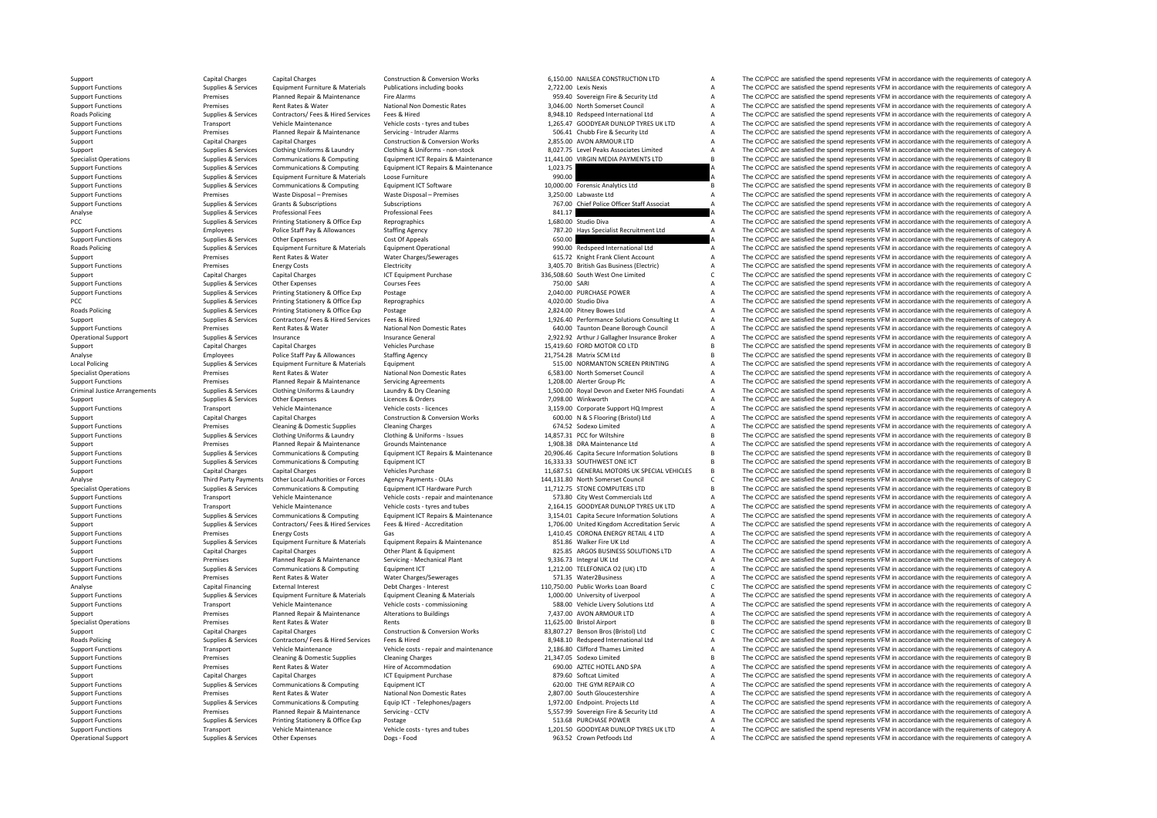**Roads Policing Roads Policing Roads Policing Local Policing** Criminal JusticeRoads Policing

Support Capital Charges Capital Charges Construction & Construction & Conversion Works 6,150.00 NAILSEA CONSTRUCTION LTD A The CC/PCC are satisfied the spend represents VFM in accordance with the requirements of category A Support Functions Supplies & Services Equipment Furniture & Materials Publications including books 2,722.00 Lexis Nexis A The CC/PCC are satisfied the spend represents VFM in accordance with the requirements of category A Support Functions Premises Planned Repair & Maintenance Fire Alarms 959.40 Sovereign Fire & Security Ltd A The CC/PCC are satisfied the spend represents VFM in accordance with the requirements of category A The CC/PCC are Support Functions Premises Premises Rent Rates & Water National Non Domestic Rates 3,046.00 North Somerset Council A The CC/PCC are satisfied the spend represents VFM in accordance with the requirements of category A Roads Policing Supplies A Hired Services Fees & Hired Supplies Contractors/ Fees & Hired Services Fees & Hired Services of A Services A Service A Service A Service A The CC/PCC are satisfied the spend represents VFM in accordanc Support Functions Transport Vehicle Maintenance Vehicle costs – tyres and tubes 1,265.47 GOODYEAR DUNLOP TYRES UK LTD A The CC/PCC are satisfied the spend represents VFM in accordance with the requirements of category A Support Functions Premises Planned Repair & Maintenance Servicing Functions are the Security Ltd A The CC/PCC are satisfied the spend represents VFM in accordance with the requirements of category A The CC/PCC are satisfie Support Capital Charges Capital Charges Construction & Conversion Works 2,855.00 AVON ARMOUR LTD A The CC/PCC are satisfied the spend represents VFM in accordance with the requirements of category A Sunniers of category A Supplies & Services Cothing Uniforms & Laundry Clothing & Uniforms - non-stock and a support of the CC/PCC are satisfied the spend represents VFM in accordance with the requirements of category A<br>Supplies & Services Commun Supplies & Services Communications & Computing Equipment ICT Repairs & Maintenance 11.441.00 VIRGIN MEDIA PAYMENTS LTD B The CC/PCC are satisfied the spend represents VFM in accordance with the requirements of category B Support Functions Supplies & Supplies & Supplies & Communications & Computing Equipment ICT Repairs & Maintenance 1,023.75 A The CC/PCC are satisfied the spend represents VFM in accordance with the requirements of category Support Functions Supplies & Services Equipment Furniture & Materials Loose Furniture Constant Expone Functions and the COMEN of The CC/PCC are satisfied the spend represents VFM in accordance with the requirements of cate Support Functions Supplies & Services Communications & Computing Equipment ICT Software 10,000.00 Forensic Analytics Ltd B The CC/PCC are satisfied the spend represents VFM in accordance with the requirements of category B The CC/PCC are satisfied the spend represents VFM in accordance with the requirements of category A Support Functions Supplies & Services Grants & Subscriptions Subscriptions Subscriptions Subscriptions Subscriptions and a The CC/PCC are satisfied the spend represents VFM in accordance with the requirements of category A Analyse Supplies & Services Professional Fees Professional Fees 841.17 A The CC/PCC are satisfied the spend represents VFM in accordance with the requirements of category A PCC Supplies & Services Printing Stationery & Office Exp Reprographics 1,680.00 Studio Diva A The CC/PCC are satisfied the spend represents VFM in accordance with the requirements of category A Support Functions Employees Police Staff Pay & Allowances Staffing Agency Staff Pay Agency 787.20 Hays Specialist Recruitment Ltd A The CC/PCC are satisfied the spend represents VFM in accordance with the requirements of c Support Functions Supplies & Services Other Expenses Cost Of Appeals Cost Of Appeals Cost Of Appeals Cost Of Appeals Cost Of Appeals 650.00 A The CC/PCC are satisfied the spend represents VFM in accordance with the require Policing Supplies & Services Equipment Furniture & Materials Equipment Operational 990.00 Redspeed International Ltd A The CC/PCC are satisfied the spend represents VFM in accordance with the requirements of category A Support Premises Rent Rates & Water Water Charges/Sewerages 615.72 Knight Frank Client Account A The CC/PCC are satisfied the spend represents VFM in accordance with the requirements of category A Support Functions Premises Energy Costs Electricity Electricity and the Electricity 3,405.70 British Gas Business (Electricity A The CC/PCC are satisfied the spend represents VFM in accordance with the requirements of cate Support Capital Charges Capital Charges Capital Charges ICT Equipment Purchase 336,508.60 South West One Limited C The CC/PCC are satisfied the spend represents VFM in accordance with the requirements of category C Support Support Functions Supplies & Services Other Expenses Courses Fees Courses Courses Courses Courses Courses Courses Courses Courses Courses Courses Courses 750.00 SARI The CC/PCC are satisfied the spend represents VFM in acc Printing Stationery & Office Exp Postage Printing Stationery Supplies Printing Stationery & Office Exp Postage 2,040.00 PURCHASE POWER A The CC/PCC are satisfied the spend represents VFM in accordance with the requirements PCC PCC are satisfied the spend of changes and the equirements of category A Principal Supplies and Supplies & Supplies & Supplies & Supplies A Category A Category A Category A Category A Category A Category A The CC/PCC a Policing Supplies & Services Printing Stationery & Office Exp Postage Printing Stationery and Postage 2,824.00 Pitney Bowes Ltd A The CC/PCC are satisfied the spend represents VFM in accordance with the requirements of cat Fees & Hired Support Contract Contract Contract Consulting Lt A The CC/PCC are satisfied the spend represents VFM in accordance with the requirements of category A<br>National Non Domestic Pates Consultion Dagne Bergueb Counc Support Functions Premises Rent Rates & Water National Non Domestic Rates 640.00 Taunton Deane Borough Council A The CC/PCC are satisfied the spend represents VFM in accordance with the requirements of category A Deant of Operational Support Supplies & Services Insurance Insurance General 2,922.92 Arthur J Gallagher Insurance Broker A The CC/PCC are satisfied the spend represents VFM in accordance with the requirements of category A Support Capital Charges Capital Charges Vehicles Purchase 15,419.60 FORD MOTOR CO LTD 15,419.60 FORD MOTOR CO LTD The CC/PCC are satisfied the spend represents VFM in accordance with the requirements of category B 21,754.2 Analyse Employees Police Staff Pay & Allowances Staffing Agency 21,754.28 Matrix SCM Ltd B The CC/PCC are satisfied the spend represents VFM in accordance with the requirements of category B Supplies & Services Equipment Furniture & Materials Equipment Supplies and the Supplies of category A The CC/PCC are satisfied the spend represents VFM in accordance with the requirements of category A Specialist Operations Premises Rent Rates & Water National Non Domestic Rates 6,583.00 North Somerset Council A The CC/PCC are satisfied the spend represents VFM in accordance with the requirements of category A Support Functions Premises Planned Repair & Maintenance Servicing Agreements 1,208.00 Alerter Group Plc A The CC/PCC are satisfied the spend represents VFM in accordance with the requirements of category A Critical Interio Sunnlies & Services Clothing Uniforms & Laundry Laundry Bry Cleaning 15000 and Devon and Event HRS Foundati A The CC/PCC are satisfied the spend represents VEM in accordance with the requirements of category A Support Support Support Support Other Expenses Curbe Expenses Licences & Orders 2,098.00 Winkworth The CC/PCC are satisfied the spend represents VFM in accordance with the requirements of category A Support Functions Transport Vehicle Maintenance Vehicle Costs - licences 3,159.00 Corporate Support HQ Imprest A The CC/PCC are satisfied the spend represents VFM in accordance with the requirements of category A Support P Support Capital Charges Capital Charges Capital Charges Construction & Conversion Works 600.00 N & S Flooring (Bristol) Ltd A The CC/PCC are satisfied the spend represents VFM in accordance with the requirements of categor Support Functions Cleaning & Domestic Supplies Cleaning Charges Cleaning Charges Cleaning Charges 674.52 Sodexo Limited A The CC/PCC are satisfied the spend represents VFM in accordance with the requirements of category A Support Functions Supplies & Services Clothing Uniforms & Laundry Clothing & Uniforms - Issues 14,857.31 PCC for Wiltshire B The CC/PCC are satisfied the spend represents VFM in accordance with the requirements of category Support Premises Planned Repair & Maintenance Grounds Maintenance 1,908.38 DRA Maintenance 1,1908.38 DRA Maintenance 1,1908.38 DRA Maintenance 1,1908.38 DRA Maintenance 1,1908.38 DRA Maintenance 1,1908.38 DRA Maintenance A Supplies & Services Communications & Computing Equipment ICT Repairs & Maintenance 20,906.46 Capita Secure Information Solutions B The CC/PCC are satisfied the spend represents VFM in accordance with the requirements of ca Support Functions Supplies & Supplies & Supplies Communications & Computing Equipment ICT Support Functions and the Support Functions and the spend represents VFM in accordance with the requirements of category B Vehicles Support Capital Charges Capital Charges Capital Charges Vehicles Purchase Vehicles Purchase 11,687.51 GENERAL MOTORS UK SPECIAL VEHICLES B The CC/PCC are satisfied the spend represents VFM in accordance with the requiremen Analyse Third Party Payments Other Local Authorities or Forces Agency Payments - OLAs 144,131.80 North Somerset Council C The CC/PCC are satisfied the spend represents VFM in accordance with the requirements of category C Suppliers & Suppliers & Communications & Computing Equipment ICT Hardware Purch 11,712.75 STONE COMPUTERS LTD B The CC/PCC are satisfied the spend represents VFM in accordance with the requirements of category B<br>Support Fu Transport Vehicle Maintenance Vehicle costs - repair and maintenance 573.80 City West Commercials Ltd A The CC/PCC are satisfied the spend represents VFM in accordance with the requirements of category A Support Functions Transport Vehicle Maintenance Vehicle costs – tyres and tubes 2,164.15 GOODYEAR DUNLOP TYRES UK LTD A The CC/PCC are satisfied the spend represents VFM in accordance with the requirements of category A Su Communications & Computing Equipment ICT Repairs & Maintenance 3,154.01 Capita Secure Information Solutions A The CC/PCC are satisfied the spend represents VFM in accordance with the requirements of category A<br>Contractors/ Supplies & Services Contractors/ Fees & Hired Services Fees & Hired Accreditation Accreditation Manufactured the COPCC are satisfied the spend represents VFM in accordance with the requirements of category A Support Functions Premises Energy Costs Gas Gas Gas Casts Gas 1,410.45 CORONA ENERGY RETAIL 4 LTD A The CC/PCC are satisfied the spend represents VFM in accordance with the requirements of category A Support Functions Supp Supplies & Services Equipment Furniture & Materials Equipment Repairs & Maintenance and a student and the CCPCC are satisfied the spend represents VFM in accordance with the requirements of category A<br>Support Fundational C Support Capital Charges Capital Charges Capital Charges Other Plant & Equipment 825.85 ARGOS BUSINESS SOLUTIONS LTD A The CC/PCC are satisfied the spend represents VFM in accordance with the requirements of category A<br>Supp Support Functions Consumer Premises Planned Repair & Maintenance Servicing • Mechanical Plant 9,336.73 Integral UK Ltd A The CC/PCC are satisfied the spend represents VFM in accordance with the requirements of category A Support Functions Supplies & Services Communications & Computing Equipment ICT 1,212.00 TELEFONICA O2 (UK) LTD A The CC/PCC are satisfied the spend represents VFM in accordance with the requirements of category A Support Functions Premises Rent Rates & Water Water Water Charges/Sewerages STER STATES A The CC/PCC are satisfied the spend represents VFM in accordance with the requirements of category Charges and a category Charges and Analyse Capital Financing External Interest Debt Charges - Interest Debt Charges - Interest 110,750.00 Public Works Loan Board C The CC/PCC are satisfied the spend represents VFM in accordance with the requirements of cate A The CC/PCC are satisfied the spend represents VFM in accordance with the requirements of category A Support Functions Transport Vehicle Maintenance Vehicle costs – commissioning 588.00 Vehicle Livery Solutions Ltd A The CC/PCC are satisfied the spend represents VFM in accordance with the requirements of category A Suppor Support Premises Planned Repair & Maintenance Alterations to Buildings 7,437.00 AVON ARMOUR LTD A The CC/PCC are satisfied the spend represents VFM in accordance with the requirements of category A<br>Specialist Operations Se The CC/PCC are satisfied the spend represents VFM in accordance with the requirements of category B Support Capital Charges Capital Charges Capital Charges Construction & Conversion Works 83,807.27 Benson Bros (Bristol) Ltd C The CC/PCC are satisfied the spend represents VFM in accordance with the requirements of categor Policing Supplies & Services Contractors/ Fees & Hired Services Fees & Hired Services Fees & Hired 8,948.10 Redspeed International Ltd A The CC/PCC are satisfied the spend represents VFM in accordance with the requirements Support Functions Vehicle Costs – repair and maintenance 2,186.80 Clifford Thames Limited A The CC/PCC are satisfied the spend represents VFM in accordance with the requirements of category A Premises Cleaning Changes Clea Support Functions Premises Cleaning & Domestic Supplies Cleaning Charges 21,347.05 Sodexo Limited B The CC/PCC are satisfied the spend represents VFM in accordance with the requirements of category B Support Functions Premises Rent Rates & Water Hire of Accommodation Hire of Accommodation 690.00 AZTEC HOTEL AND SPA A The CC/PCC are satisfied the spend represents VFM in accordance with the requirements of category A Sup Support Capital Charges Capital Charges ICT Equipment Purchase 879.60 Softcat Limited A The CC/PCC are satisfied the spend represents VFM in accordance with the requirements of category A Support Functions Supplies & Services Communications & Computing Equipment ICT 620.00 THE GYM REPAIR CO A The CC/PCC are satisfied the spend represents VFM in accordance with the requirements of category A Support Functions Premises Rent Rates & Water National Non Domestic Rates 2,807.00 South Gloucestershire A The CC/PCC are satisfied the spend represents VFM in accordance with the requirements of category A Support Functions Supplies & Services Communications & Computing Equip ICT - Telephones/pagers 1,972.00 Endpoint. Projects Ltd A The CC/PCC are satisfied the spend represents VFM in accordance with the requirements of cate Support Functions Premises Planned Repair & Maintenance Servicing - CCTV 5,557.99 Sovereign Fire & Security Ltd A The CC/PCC are satisfied the spend represents VFM in accordance with the requirements of category A Support Support Functions Supplies & Services Printing Stationery & Office Exp Postage Printing Stationery & Office Exp Postage Postage Postage Support Functions A The CC/PCC are satisfied the spend represents VFM in accordance wi Support Functions Transport Vehicle Maintenance Vehicle costs – tyres and tubes 1,201.50 GOODYEAR DUNLOP TYRES UK LTD A The CC/PCC are satisfied the spend represents VFM in accordance with the requirements of category A Operational Support Supplies & Services Other Expenses Dogs - Food Dogs - Food Support Dogs - Food 963.52 Crown Petfoods Ltd A The CC/PCC are satisfied the spend represents VFM in accordance with the requirements of catego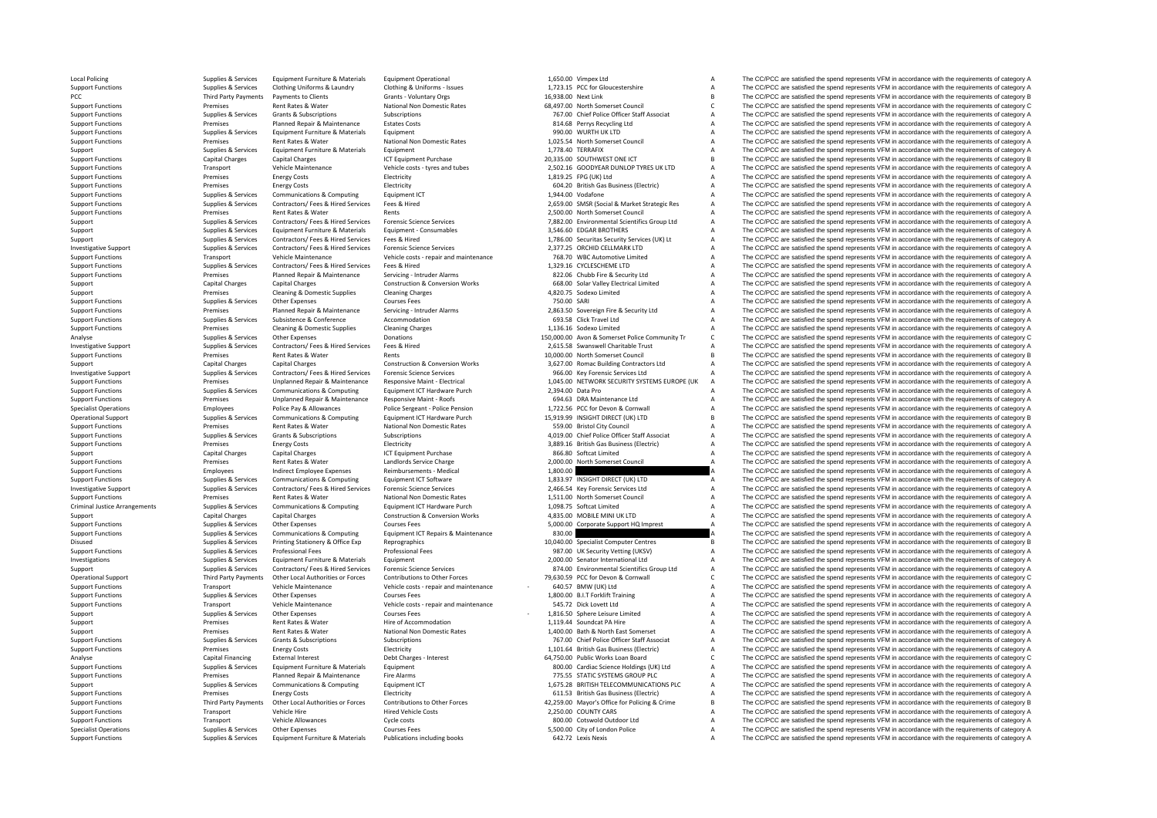**Local Policing** PCC ThirdCriminal Justice

Poplies & Services Equipment Furniture & Materials Equipment Operational Supplies and the Supplies and the CC-PCC are satisfied the spend represents VFM in accordance with the requirements of category A Supplies & Services Supplies & Services Clothing Uniforms & Laundry Clothing & Uniforms - Issues 1.723.15 PCC for Gloucestershire A The CC/PCC are satisfied the spend represents VFM in accordance with the requirements of category A Party Payments Crients Crants Control Creates and Criteria Criteria and Criteria Criteria Criteria Criteria and Criteria Criteria and Criteria and represents VFM in accordance with the requirements of category B The CC/PCC Support Functions Premises Premises Rent Rates & Water National Non Domestic Rates 68,497.00 North Somerset Council C The CC/PCC are satisfied the spend represents VFM in accordance with the requirements of category C Supp Support Functions Subscriptions Subscriptions and the Subscriptions of the Subscriptions of the Subscriptions Subscriptions of the Subscriptions of the Subscriptions of the Subscriptions of the Subscriptions of the Subscri Support Functions Premises Planned Repair & Maintenance Estates Costs 814.68 Perrys Recycling Ltd A The CC/PCC are satisfied the spend represents VFM in accordance with the requirements of category A Support Functions Supplies & Services Equipment Furniture & Materials Equipment Functions and the spend represent of the Support of the Support of the services are satisfied the spend represents VFM in accordance with the Premises Rent Rates & Water National Non Domestic Rates 1,025.54 North Somerset Council A The CC/PCC are satisfied the spend represents VFM in accordance with the requirements of category A Supplies & Supplies & Support Equipment Furniture & Materials Equipment Equipment Purchase Support and the spend of the CC/PCC are satisfied the spend represents VFM in accordance with the requirements of category A Suppor Support Functions Capital Charges Capital Charges Capital Charges ICT Equipment Purchase 20,335.00 SOUTHWEST ONE ICT B The CC/PCC are satisfied the spend represents VFM in accordance with the requirements of category B Veh Support Functions Transport Vehicle Maintenance Vehicle costs tyres and tubes 2,502.16 GOODYEAR DUNLOP TYRES UK The CC/PCC are satisfied the spend represents VFM in accordance with the requirements of category A Support Functions Premises Energy Costs Electricity Electricity Electricity Electricity Electricity and the COV Costs Energy Costs Electricity Electricity and the Support Functions and the corport and represents VFM in acc Support Functions Premises Energy Costs Energy Costs Electricity Electricity Electricity Electricity Electricity Electricity and the Support Functions and the CC/PCC are satisfied the spend represents VFM in accordance wit A The CC/PCC are satisfied the spend represents VFM in accordance with the requirements of category A Sunnort Functions Sunniles & Services Contractors/ Fees & Hired Services Fees & Hired Services Fees & Hired Services Fees & Hired Services Fees & Hired Services Fees & Hired Services Fees & Hired Services Fees & Hired Serv Support Functions Premises Rent Rates & Water Rents Rents Rents 2,500.00 North Somerset Council A The CC/PCC are satisfied the spend represents VFM in accordance with the requirements of category A Supplies & Services Contractors/Fees & Hired Services Forensic Science Services Contractors and The COPCC are satisfied the spend represents VFM in accordance with the requirements of category A<br>Sunglige & Services Forumon Support Supplies & Services Equipment Furniture & Materials Equipment - Consumables 3,546.60 EDGAR BROTHERS A The CC/PCC are satisfied the spend represents VFM in accordance with the requirements of category A Support Supp Support Supplies & Services Contractors/ Fees & Hired Services Fees & Hired Hired Pees & Hired Security Services Fees & Hired Security Services Contractors/ Fees & Hired Services Fees & Hired Services Fees & Hired Services Investigative Support Supplies & Services Contractors/ Fees & Hired Services Forensic Science Services 2,377.25 ORCHID CELLMARK LTD <sup>A</sup> The CC/PCC are satisfied the spend represents VFM in accordance with the requirements of category A Support Functions Transport Vehicle Maintenance Vehicle costs - repair and maintenance 768.70 WBC Automotive Limited A The CC/PCC are satisfied the spend represents VFM in accordance with the requirements of category A Sup Support Functions Supplies & Services Contractors/ Fees & Hired Services Fees & Hired Hired Hired 1,329.16 CYCLESCHEME LTD A The CC/PCC are satisfied the spend represents VFM in accordance with the requirements of category Support Functions Planned Repair & Maintenance Servicing - Intruder Alarms and the Support Security Construction and the Security Ltd A The CC/PCC are satisfied the spend represents VFM in accordance with the requirements Support Capital Charges Capital Charges Capital Charges Construction & Conversion Works 668.00 Solar Valley Electrical Limited A The CC/PCC are satisfied the spend represents VFM in accordance with the requirements of cate Support Premises Cleaning & Domestic Supplies Cleaning Charges 4,820.75 Sodexo Limited A The CC/PCC are satisfied the spend represents VFM in accordance with the requirements of category A Support Functions Supplies & Services Other Expenses Courses Fees Courses Fees 750.00 SARI The CC/PCC are satisfied the spend represents VFM in accordance with the requirements of category A Support Functions Permises Plan Support Functions Premises Planned Repair & Maintenance Servicing - Intruder Alarms 2,863.50 Sovereign Fire & Security Ltd A The CC/PCC are satisfied the spend represents VFM in accordance with the requirements of category Support Functions Support Functions Support Functions A The CC/PCC are satisfied the spend represents VFM in accordance with the requirements of category A The Cr/PCC are satisfied the spend represents VFM in accordance wi Support Functions Cleaning Cleaning Support Cleaning Cleaning Charges Cleaning Charges 1,136.16 Sodexo Limited A The CC/PCC are satisfied the spend represents VFM in accordance with the requirements of category A The CC/PC Analyse Supplies & Services Other Expenses Donations Donations Donations Donations 150,000.00 Avon & Somerset Police Community Tr C The CC/PCC are satisfied the spend represents VFM in accordance with the requirements of c 2,615.58 Swanswell Charitable Trust<br>2,615.58 Swanswell Charitable Trust<br>2,000.00 North Somercet Council Research Property are satisfied the spend represents VEM in accordance with the requirements of category A Support Functions Premises Rent Rates & Water Rents Rents Rents Rents Rents Rents Rents 10,000.00 North Somerset Council B The CC/PCC are satisfied the spend represents VFM in accordance with the requirements of category B Support Capital Charges Capital Charges Capital Charges Construction & Conversion Works 3,627.00 Romac Building Contractors Ltd A The CC/PCC are satisfied the spend represents VFM in accordance with the requirements of cat Investigative Support Support Support Support Support Support Support Support Support Support Support Support Support Support Support Support Support Support Support Support Support Support Support Support Support Decision Premises Unplanned Repair & Maintenance Responsive Maint - Electrical 1,045.00 NETWORK SECURITY SYSTEMS EUROPE (UK A The CC/PCC are satisfied the spend represents VFM in accordance with the requirements of category A<br>Sunno Support Functions Supplies & Services Communications & Computing Equipment ICT Hardware Purch 2,394.00 Data Pro A The CC/PCC are satisfied the spend represents VFM in accordance with the requirements of category A Support Functions Premises Unplanned Repair & Maintenance Responsive Maint Poofs 694.63 DRA Maintenance Ltd A The CC/PCC are satisfied the spend represents VFM in accordance with the requirements of category A Specialist Operations Employees Police Pay & Allowances Police Sergeant - Police Pension 1,722.56 PCC for Devon & Cornwall A The CC/PCC are satisfied the spend represents VFM in accordance with the requirements of category Operational Support Support Support Support Support Support Support Communications & Computing Equipment ICT Hardware Purch 15,919.99 INSIGHT DIRECT (UK) LTD B The CC/PCC are satisfied the spend represents VFM in accordanc Support Functions Premises Rent Rates & Water National Non Domestic Rates SENDO Bristol City Council A The CC/PCC are satisfied the spend represents VFM in accordance with the requirements of category A<br>Support Functions S Support Functions Supplies & Services Grants & Subscriptions Subscriptions Subscriptions Subscriptions Subscriptions and the CO/PCC are satisfied the spend represents VFM in accordance with the requirements of category A S Premises Energy Costs Electricity Electricity and the Support Electricity 3,889.16 British Gas Business (Electricic) A The CC/PCC are satisfied the spend represents VFM in accordance with the requirements of category A Support Capital Charges Capital Charges ICT Equipment Purchase 866.80 Softcat Limited A The CC/PCC are satisfied the spend represents VFM in accordance with the requirements of category A Support Capital Charges September Support Functions Premises Rent Rates & Water Landlords Service Charge 2,000.00 North Somerset Council A The CC/PCC are satisfied the spend represents VFM in accordance with the requirements of category A Support Functions Support Functions Employee The CONCC are satisfied the spend represents VFM in accordance with the requirements of category A<br>
Support Functions Equipment ICT Software the support of the spend represents VFM in accordance Support Functions Supplies & Services Communications & Computing Equipment ICT Software 1,833.97 INSIGHT DIRECT (UK) LTD A The CC/PCC are satisfied the spend represents VFM in accordance with the requirements of category A Investigative Support Supplies & Services Contractors/ Fees & Hired Services Forensic Science Services 2,466.54 Key Forensic Services Ltd <sup>A</sup> The CC/PCC are satisfied the spend represents VFM in accordance with the requirements of category A Support Functions Water Rent Rates And Rates Rent Rates National Non Domestic Rates 1,511.00 North Somerset Council A The CC/PCC are satisfied the spend represents VFM in accordance with the requirements of category A Crim Arrangements Supplies & Services Communications & Computing Equipment ICT Hardware Purch 1,098.75 Softcat Limited 1,098.75 Softcat Limited A The CC/PCC are satisfied the spend represents VFM in accordance with the requirem Support Capital Charges Capital Charges Capital Charges Construction & Conversion Works 4,835.00 MOBILE MINI UK LTD A The CC/PCC are satisfied the spend represents VFM in accordance with the requirements of category A Supp Supplies & Services Other Expenses Courses Fees Courses Fees 5,000.00 Corporate Support HQ Imprest A The CC/PCC are satisfied the spend represents VFM in accordance with the requirements of category A Support Functions Supplies & Services Communications & Computing Equipment ICT Repairs & Maintenance and a sabole and a sabole and the CC/PCC are satisfied the spend represents VFM in accordance with the requirements of ca Disused Supplies & Services Printing Stationery & Office Exp Reprographics 10,040.00 Specialist Computer Centres B The CC/PCC are satisfied the spend represents VFM in accordance with the requirements of category B Support Functions Supplies & Services Professional Fees Professional Fees Professional Fees Professional Fees Professional Fees 987.00 UK Security Vetting (UKSV) A The CC/PCC are satisfied the spend represents VFM in accor Investigations Supplies & Services Equipment Furniture & Materials Equipment Equipment Equipment Equipment Equipment Equipment Equipment Companical Companical Companical Companical Companical Companical Companical Companic Supplies & Services Contractors/ Fees & Hired Services Forensic Science Services Forensic Science Services Supplies Services (874.00 Environmental Scientifics Group Ltd A The CC/PCC are satisfied the spend represents VFM i Operational Support Third Party Payments of the Local Authorities or Forces Contributions to Other Forces 79,630.59 PCC for Devon & Connual C The CC/PCC are satisfied the spend represents VFM in accordance with the require Support Eurotions Transport Vehicle Maintenance Vehicle costs - repair and maintenance 640.57 BMW (UK) Ltd ...<br>Support Functions Support Support Support Support Support Support Support Courses Courses Courses Courses Cours A The CC/PCC are satisfied the spend represents VFM in accordance with the requirements of category A Support Functions Transport Vehicle Maintenance Vehicle Costs - repair and maintenance 545.72 Dick Lovett Ltd A The CC/PCC are satisfied the spend represents VFM in accordance with the requirements of category A Support Supplies & Services Other Expenses Courses Fees Courses Fees Courses Fees 1,816.50 Sphere Leisure Limited A The CC/PCC are satisfied the spend represents VFM in accordance with the requirements of category A Suppor Premises Rent Rates & Water Hire of Accommodation 1,119.44 Soundcat PA Hire A The CC/PCC are satisfied the spend represents VFM in accordance with the requirements of category A Support Premises Rent Rates & Water National Non Domestic Rates 1,400.00 Bath & North East Somerset A The CC/PCC are satisfied the spend represents VFM in accordance with the requirements of category A Support Functions Su Support Functions Supplies & Services Grants & Subscriptions Subscriptions Subscriptions Subscriptions Subscriptions Subscriptions and the Subscriptions and the CO/PCC are satisfied the spend represents VFM in accordance w Support Functions Premises Energy Costs Electricity Costs A The CC/PCC are satisfied the spend represents VFM in accordance with the requirements of category A The CC/PCC are satisfied the spend represents VFM in accordanc Analyse Capital Financing External Interest Debt Charges - Interest Debt Charges - Interest CHATS CON Public Works Loan Board C The CC/PCC are satisfied the spend represents VFM in accordance with the requirements of categ Support Functions Supplies & Services Equipment Furniture & Materials Equipment Support Equipment Support Functions and the spend of the CC/PCC are satisfied the spend represents VFM in accordance with the requirements of Premises Planned Repair & Maintenance Fire Alarms Fire Alarms 775.55 STATIC SYSTEMS GROUP PLC A The CC/PCC are satisfied the spend represents VFM in accordance with the requirements of category A Support Supplies & Services Communications & Computing Equipment ICT 1,675.28 BRITISH TELECOMMUNICATIONS PLC A The CC/PCC are satisfied the spend represents VFM in accordance with the requirements of category A Support Functions Premises Energy Costs Electricity Electricity 611.53 British Gas Business (Flectricity A The CC/PCC are satisfied the spend represents VFM in accordance with the requirements of category A Third Party Payments Other Local Authorities or Forces Contributions to Other Forces and the decay office for Policing & Crime and The CC/PCC are satisfied the spend represents VFM in accordance with the requirements of ca Support Functions Transport Vehicle Hire Hired Vehicle Costs 2,250.00 COUNTY CARS A The CC/PCC are satisfied the spend represents VFM in accordance with the requirements of category A Support Functions Transport Vehicle Allowances Cycle costs Cycle costs and the spend the costswold Outdoor Ltd A The CC/PCC are satisfied the spend represents VFM in accordance with the requirements of category A Specialist Operations Supplies Services Other Expenses Courses Fees SSON Of London Police A The CC/PCC are satisfied the spend represents VFM in accordance with the requirements of category A Support Functions Supplies & Services Equipment Furniture & Materials Publications including books 642.72 Lexis Nexis A The CC/PCC are satisfied the spend represents VFM in accordance with the requirements of category A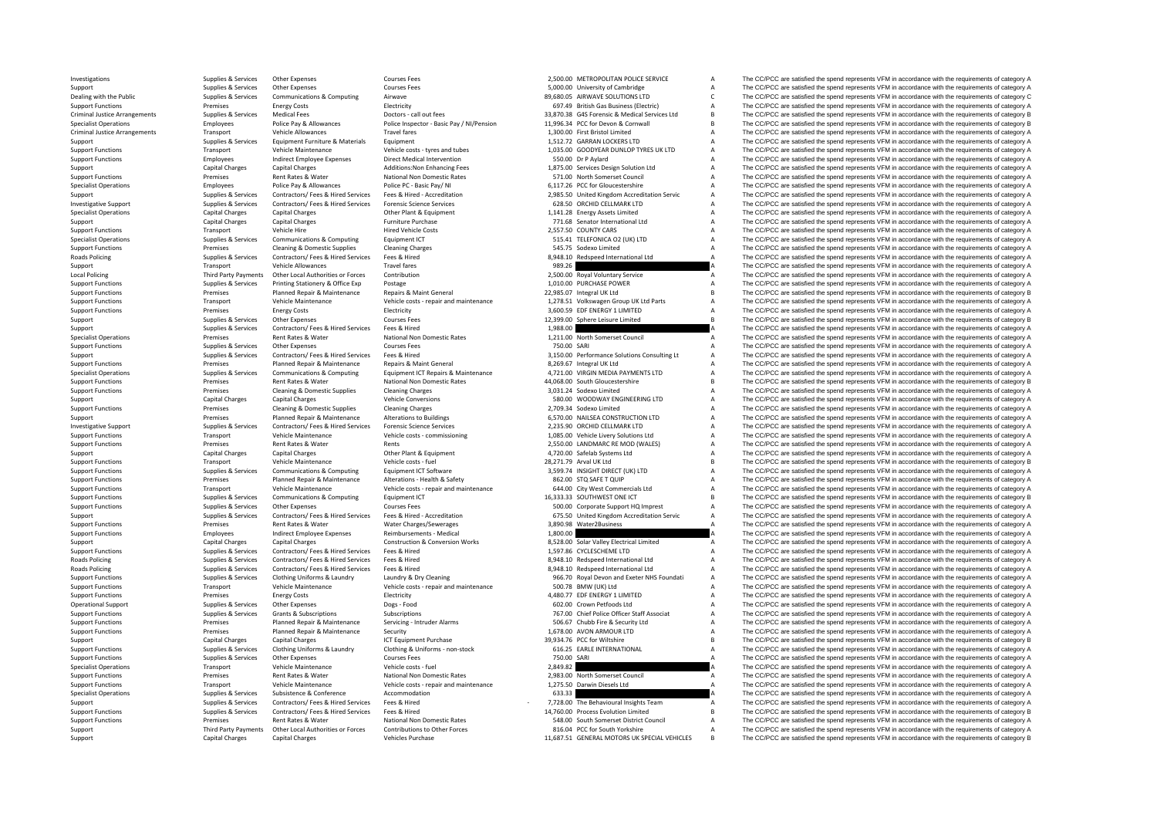Criminal JusticeCriminal Justice**Roads Policing** Local Policing **Roads Policing Roads Policing** 

Investigations Supplies & Services Other Expenses Courses Fees Courses Fees 2,500.00 METROPOLITAN POLICE SERVICE A The CC/PCC are satisfied the spend represents VFM in accordance with the requirements of category A Support Supplies & Services Other Expenses Courses Support Support Support Support Support Cambridge A The CC/PCC are satisfied the spend represents VFM in accordance with the aguirements of category Cambridge A The CC/PCC Supplies & Services Communications & Computing Airwave 89,680.05 AIRWAVE SOLUTIONS LTD C The CC/PCC are satisfied the spend represents VFM in accordance with the requirements of category C Support Functions Premises Energy Costs Energy Costs Electricity Electricity Electricity Electricity Electricity Electricity and the Support Electricity and the spend represents VFM in accordance with the requirements of c Arrivial Justice Arrangements Supplies & Services Medical Fees Doctors • call out fees Doctors • call out fees<br>Specialist Operations Special Services Arrangements of category B Doctors and Doctors Basic Pay Allowances Poli Employees Police Pay & Allowances Police Inspector - Basic Pay / Ni/Pension 11,996.34 PCC for Devon & Cornwall B The CC/PCC are satisfied the spend represents VFM in accordance with the requirements of category B Transport Vehicle Allowances Travel fares Travel fares 1,300.00 First Bristol Limited A The CC/PCC are satisfied the spend represents VFM in accordance with the requirements of category A Suite Department of category A Sui Support Supplies & Services Equipment Furniture & Materials Equipment Equipment Equipment and the Support 1,512.72 GARRAN LOCKERS LTD A The CC/PCC are satisfied the spend represents VFM in accordance with the requirements Support Functions Transport Vehicle Maintenance Vehicle costs – tyres and tubes 1,035.00 GOODYEAR DUNLOP TYRES UK LTD A The CC/PCC are satisfied the spend represents VFM in accordance with the requirements of category A Th Support Functions Employees Indirect Employee Expenses Direct Medical Intervention 550.00 Dr P Aylard A The CC/PCC are satisfied the spend represents VFM in accordance with the requirements of category A The CC/PCC are sat Support Capital Charges Capital Charges Capital Charges Additions:Non Enhancing Fees 1,875.00 Services Design Solution Ltd A The CC/PCC are satisfied the spend represents VFM in accordance with the requirements of category Support Functions Premises Rent Rates & Water National Non Domestic Rates ST1.00 North Somerset Council A The CC/PCC are satisfied the spend represents VFM in accordance with the requirements of category A Secial Stategory Specialist Operations Police Pay & Allowances Police PC - Basic Pay/ NI 6,117.26 PCC for Gloucestershire A The CC/PCC are satisfied the spend represents VFM in accordance with the requirements of category A Sumplex & Servi Supplies Services Contractors/Fees & Hired Services Fees & Hired Accreditation 2,985.50 United Kingdom Accreditation Service A The CC/PCC are satisfied the spend represents VFM in accordance with the requirements of catego Investigative Sunnort Sunnies & Services Contractors/ Fees & Hired Services Forensic Science Services Forensic Science Services Contractors (Fees & Hired Services Forensic Science Services Contractors Science Services Cont Specialist Operations Capital Charges Capital Charges Other Plant & Equipment 1,141.28 Energy Assets Limited A The CC/PCC are satisfied the spend represents VFM in accordance with the requirements of category A Support Capital Charges Capital Charges Furniture Purchase Furniture Purchase 771.68 Senator International Ltd A The CC/PCC are satisfied the spend represents VFM in accordance with the requirements of category A Support Functions Transport Vehicle Hire Vehicle Hire Hired Vehicle Costs 2,557.50 COUNTY CARS A The CC/PCC are satisfied the spend represents VFM in accordance with the requirements of category A Specialist Operations Sup Specialist Operations Supplies According Equipment ICT Computing Computing Computing Computing Computing Equipment ICT Computing Computing Computing Computing Computing Equipments of category A S45.75 Sodexo Limited A The Support Functions Premises Cleaning & Domestic Supplies Cleaning Charges Cleaning Charges Cleaning Charges Cleaning Charges Cleaning Charges S45.75 Sodexo Limited A The CC/PCC are satisfied the spend represents VFM in acco Supplies & Services Contractors/ Fees & Hired Services Fees & Hired Serviced Serviced Media 8,948.10 Redspeed International Ltd A The CC/PCC are satisfied the spend represents VFM in accordance with the requirements of cat Support Transport Vehicle Allowances Travel fares Travel fares Travel fares and the company of the Support of the Support of the CC/PCC are satisfied the spend represents VFM in accordance with the requirements of category Local Policing Third Party Payments Other Local Authorities or Forces Contribution 2,500.00 Royal Voluntary Service A The CC/PCC are satisfied the spend represents VFM in accordance with the requirements of category A Supp Support Functions Supplies & Services Printing Stationery & Office Exp Postage Printing Stationery & Office Exp Postage 1,010.00 PURCHASE POWER A The CC/PCC are satisfied the spend represents VFM in accordance with the req The CC/PCC are satisfied the spend represents VFM in accordance with the requirements of category B Support Functions Transport Vehicle Maintenance Wehicle costs - repair and maintenance 1,278.51 Volkswagen Group UK Ltd Parts A The CC/PCC are satisfied the spend represents VFM in accordance with the requirements of categ Support Functions Premises Energy Costs Energy Costs Electricity Electricity Courses Electricity and the Support ENERGY 1 LIMITED A The CC/PCC are satisfied the spend represents VFM in accordance with the requirements of c Support Supplies Courses Courses The CC/PCC are satisfied the spend represents VFM in accordance with the requirements of category B The CripCC are satisfied the spend represents VFM in accordance with the requirements of Support Supplies Contractors/ Fees & Hired Services Fees & Hired 1,988.00 A The CC/PCC are satisfied the spend represents VFM in accordance with the requirements of category A Specialist Operations Premises Rent Rates & Water National Non Domestic Rates 1,211.00 North Somerset Council A The CC/PCC are satisfied the spend represents VFM in accordance with the requirements of category A Support Fu Supplies & Services Other Expenses Courses Fees Courses Fees Courses Fees TSO.00 SARI The CC/PCC are satisfied the spend represents VFM in accordance with the requirements of category A Support Functions Consulting Lt a Th Support Supplies & Services Contractors/ Fees & Hired Services Fees & Hired Services Fees & Hired Services Fees & Hired Services Fees & Hired Services Fees & Hired Services Fees & Hired Services Services Fees & Hired Servi Support Functions Premises Planned Repair & Maintenance Repairs & Maint General 8,269.67 Integral UK Ltd A The CC/PCC are satisfied the spend represents VFM in accordance with the requirements of category A Supplies & Services Communications & Computing Equipment ICT Repairs & Maintenance 4,721.00 VIRGIN MEDIA PAYMENTS LTD A The CC/PCC are satisfied the spend represents VFM in accordance with the requirements of category A Support Functions Premises Rent Rates & Water National Non Domestic Rates 44,068.00 South Gloucestershire B The CC/PCC are satisfied the spend represents VFM in accordance with the requirements of category B Cleaning Aname Support Functions Premises Cleaning & Domestic Supplies Cleaning Charges Cleaning Charges 3,031.24 Sodexo Limited A The CC/PCC are satisfied the spend represents VFM in accordance with the requirements of category A The CC Support Capital Charges Capital Charges Vehicle Conversions Vehicle Conversions SBOLO WOODWAY ENGINEERING LTD A The CC/PCC are satisfied the spend represents VFM in accordance with the requirements of category A Support Fu Support Functions Premises Cleaning & Domestic Supplies Cleaning Charges Cleaning Charges 2,709.34 Sodexo Limited A The CC/PCC are satisfied the spend represents VFM in accordance with the requirements of category A Suppor Support Premises Planned Repair & Maintenance Alterations to Buildings 6,570.00 NAILSEA CONSTRUCTION LTD A The CC/PCC are satisfied the spend represents VFM in accordance with the requirements of category A the Support Ser Investigative Sunnort Sunnies & Services Contractors/ Fees & Hired Services Forensic Science Services Forensic Science Services 2006 2006 2006 2007 (RCHID CELLIMARK LTD A The CC/PCC are satisfied the spend represents VFM i Support Functions Transport Vehicle Maintenance Vehicle costs – commissioning 1,085.00 Vehicle Livery Solutions Ltd A The CC/PCC are satisfied the spend represents VFM in accordance with the requirements of category A Supp Support Functions Premises Rent Rates & Water Rents 2,550.00 LANDMARC RE MOD (WALES) A The CC/PCC are satisfied the spend represents VFM in accordance with the requirements of category A Support Capital Charges Capital Charges Other Plant & Equipment 4,720.00 Safelab Systems Ltd A The CC/PCC are satisfied the spend represents VFM in accordance with the requirements of category A Support Functions Transport Vehicle Maintenance Vehicle costs – fuel 28,271.79 Arval UK Ltd B The CC/PCC are satisfied the spend represents VFM in accordance with the requirements of category B Vehicle Costs – functions ar Support Functions Support Functions Support Functions Computing Support Functions Computing Support Functions Support Functions Support The CORM of Computing Support of the Support A Satisfied the spend represents VFM in a Support Functions Premises Planned Repair & Maintenance Alterations - Health & Safety 862.00 STQ SAFE T QUIP A The CC/PCC are satisfied the spend represents VFM in accordance with the requirements of category A Support Functions Transport Vehicle Maintenance Vehicle costs ‐ repair and maintenance 644.00 City West Commercials Ltd A The CC/PCC are satisfied the spend represents VFM in accordance with the requirements of category A Support Functions Supplies & Services Communications & Computing Foulthment ICT 16,333.33 SOUTHWEST ONE ICT Research The CC/PCC are satisfied the spend represents VFM in accordance with the requirements of category B Support Functions Supplies & Services Other Expenses Courses Fees Courses Fees Alired Accreditation Courses Fees Athred Accreditation Support HQ Imprest A The CC/PCC are satisfied the spend represents VFM in accordance wit Supplies & Supplies & Services Contractors/ Fees & Hired Services Fees & Hired Accreditation Mater and the COLOC are addition Service and The CC/PCC are satisfied the spend represents VFM in accordance with the requirement Premises Rent Rates & Water Water Charges/Sewerages 3,890.98 Water2Business A The CC/PCC are satisfied the spend represents VFM in accordance with the requirements of category A The C. PCC are satisfied the spend represent Support Functions Employees Indirect Employee Expenses Reimbursements - Medical 1,800.00 A The CC/PCC are satisfied the spend represents VFM in accordance with the requirements of category A<br>Support Function Schements of c Support Capital Charges Capital Charges Construction & Conversion Works 8,528.00 Solar Valley Electrical Limited A The CC/PCC are satisfied the spend represents VFM in accordance with the requirements of category A Support Support Functions Supplies & Services Contractors/ Fees & Hired Services Fees & Hired 1,597.86 CYCLESCHEME LTD A The CC/PCC are satisfied the spend represents VFM in accordance with the requirements of category A Radio Par Poplies & Services Contractors/ Fees & Hired Services Fees & Hired Services Fees & Hired Services Fees & Hired Services Fees & Hired Services Fees & Hired Services Fees & Hired Services Fees & Hired Services Fees & Hired S 8,948.10 Redspeed International Ltd <br>
A The CC/PCC are satisfied the spend represents VFM in accordance with the requirements of category A Supplies & Services Clothing Uniforms & Laundry Laundry Marketing and the COPCC are satisfied the spend represents VFM in accordance with the requirements of category A<br>Transport Vehicle Maintenance Vehicle Costs - repair Support Functions Transport Vehicle Maintenance Vehicle costs - repair and maintenance 500.78 BMW (UK) Ltd A The CC/PCC are satisfied the spend represents VFM in accordance with the requirements of category A Support Funct A The CC/PCC are satisfied the spend represents VFM in accordance with the requirements of category A Operational Support Supplies & Services Other Expenses Dogs - Food Dogs - Food Support Dogs - Food 602.00 Crown Petfoods Ltd A The CC/PCC are satisfied the spend represents VFM in accordance with the requirements of catego Support Functions Supplies & Services Grants & Subscriptions Subscriptions Subscriptions Subscriptions Subscriptions Subscriptions and The CC/PCC are satisfied the spend represents VFM in accordance with the requirements o Premises Planned Repair & Maintenance Servicing - Intruder Alarms 506.67 Chubb Fire & Security Ltd A The CC/PCC are satisfied the spend represents VFM in accordance with the requirements of category A Support Functions Premises Planned Repair & Maintenance Security Security 1,678.00 AVON ARMOUR LTD A The CC/PCC are satisfied the spend represents VFM in accordance with the requirements of category A Support LTD Support P Support Capital Charges Capital Charges Capital Charges ICT Equipment Purchase 1201476 Corres 20,934.76 PCC for Wiltshire B The CC/PCC are satisfied the spend represents VFM in accordance with the requirements of category 616.25 EARLE INTERNATIONAL A<br>750.00 SARI The CC/PCC are satisfied the spend represents VFM in accordance with the requirements of category A<br>750.00 SARI The CC/PCC are satisfied the spend represents VFM in accordance with Support Functions Supplies & Services Other Expenses Courses Fees Courses Courses Courses Courses Courses Courses Courses Courses Courses Courses Courses Courses Courses COURS 750.00 SARI A The CC/PCC are satisfied the spe Specialist Operations Transport Vehicle Maintenance Vehicle costs - fuel 2,849.82 2,849.82 A The CC/PCC are satisfied the spend represents VFM in accordance with the requirements of category A Support Functions Premises Rent Rates & Water National Non Domestic Rates 2,983.00 North Somerset Council A The CC/PCC are satisfied the spend represents VFM in accordance with the requirements of category A Support Functions Transport Vehicle Maintenance Vehicle costs - repair and maintenance 1,275.50 Darwin Diesels Ltd A The CC/PCC are satisfied the spend represents VFM in accordance with the requirements of category A Specialist Operations Supplies & Supplies & Subsistence & Conference Accommodation Accommodation 633.33 A The CC/PCC are satisfied the spend represents VFM in accordance with the requirements of category A Supplies & Servi Sunnort Sunniles & Services Contractors/ Fees & Hired Services Fees & Hired Services Fees & Hired Services Fees & Hired Services Fees & Hired Services Fees & Hired Services Fees & Hired Services Fees & Hired Services Servi Support Functions Supplies & Services Contractors/ Fees & Hired Services Fees & Hired 14,760.00 Process Evolution Limited B The CC/PCC are satisfied the spend represents VFM in accordance with the requirements of category Support Functions Premises Rent Rates & Water National Non Domestic Rates 548.00 South Somerset District Council A The CC/PCC are satisfied the spend represents VFM in accordance with the requirements of category A Third Party Payments Other Local Authorities or Forces Contributions to Other Forces and the Subara Contributions to Other Forces and the Subara Contributions to Other Forces and the Subara Subara Contributions to Other Fo Support Capital Charges Capital Charges Vehicles Purchase Vehicles Purchase 11,687.51 GENERAL MOTORS UK SPECIAL VEHICLES B The CC/PCC are satisfied the spend represents VFM in accordance with the requirements of category B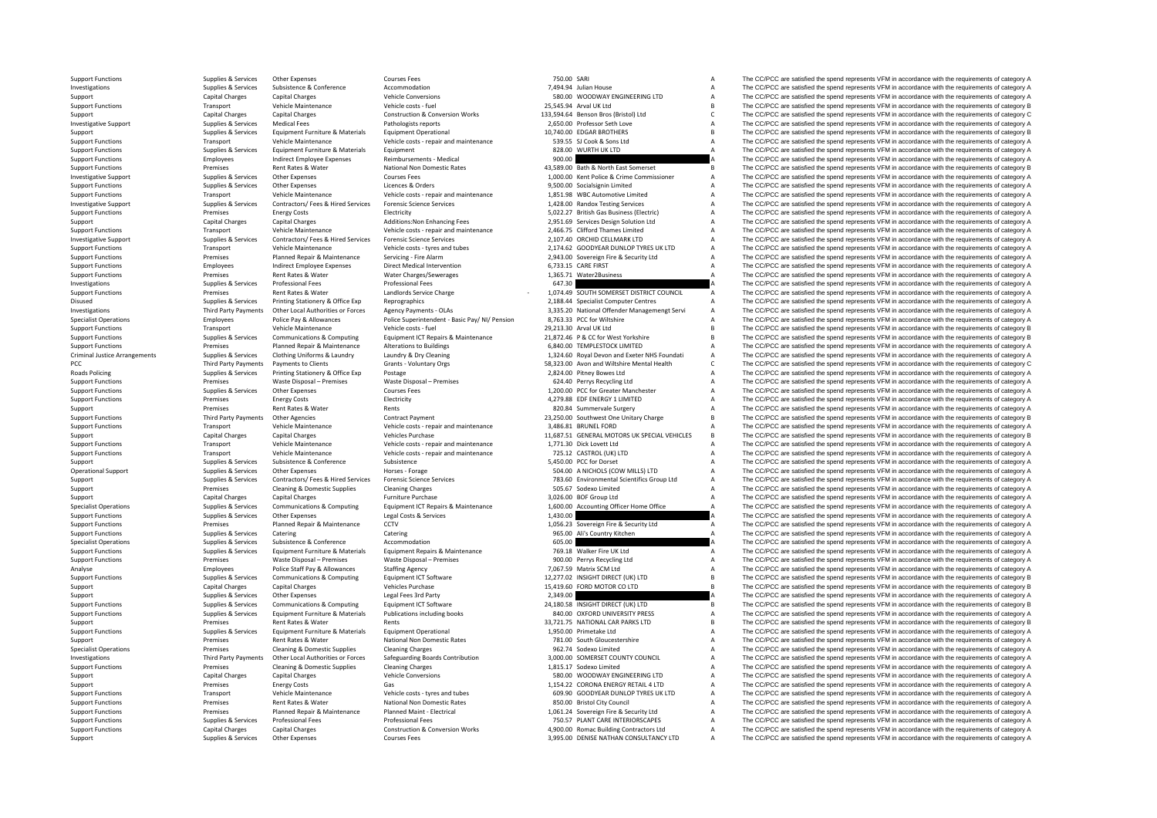Criminal JusticePCC Third Third Third Third Third Third Third Third Third Third Third Third Third Third Third Third Third Third **Roads Policing** 

Support Supplies & Services Other Expenses Courses Fees Courses Fees 3,995.00 DENISE NATHAN CONSULTANCY LTD A The CC/PCC are satisfied the spend represents VFM in accordance with the requirements of category A

Support Functions Supplies & Services Other Expenses Courses Fees Courses Fees 750.00 SARI A The CC/PCC are satisfied the spend represents VFM in accordance with the requirements of category A Investigations Supplies & Supplies & Supplies & Subsistence Accommodation Accommodation Accommodation Accommodation 7,494.94 Julian House A The CC/PCC are satisfied the spend represents VFM in accordance with the requireme Support Capital Charges Capital Charges Vehicle Conversions 580.00 WOODWAY ENGINEERING LTD A The CC/PCC are satisfied the spend represents VFM in accordance with the requirements of category A Support Functions Transport Vehicle Maintenance Vehicle Costs - fuel Vehicle Costs Fuel 25,545.94 Arval UK Ltd B The CC/PCC are satisfied the spend represents VFM in accordance with the requirements of category B Support C Support Capital Charges Capital Charges Capital Charges Construction & Conversion Works 133,594.64 Benson Bros (Bristol) Ltd C The CC/PCC are satisfied the spend represents VFM in accordance with the requirements of catego Investigative Support Support Support Support Support Support Support Support Support Support Support Supports Support Support Support Support Support Support Support Support Support Support Support Support Support Support Support Supplies & Services Equipment Furniture & Materials Equipment Operational 10,740.00 EDGAR BROTHERS B The CC/PCC are satisfied the spend represents VFM in accordance with the requirements of category B Vehicle Mater Transport Vehicle Maintenance Vehicle costs ‐ repair and maintenance 539.55 SJ Cook & Sons Ltd A The CC/PCC are satisfied the spend represents VFM in accordance with the requirements of category A Support Conserved and the Support Functions Supplies & Services Equipment Furniture & Materials Equipment Curriculars Company and the spend the spend represents VFM in accordance with the requirements of category A The CC/PCC are satisfied the spen Support Functions Employees Indirect Employee Expenses Reimbursements - Medical 900.00 A The CC/PCC are satisfied the spend represents VFM in accordance with the requirements of category A The CC/PCC are satisfied the spen Support Functions Premises Rent Rates & Water National Non Domestic Rates 43,589.00 Bath & North East Somerset B The CC/PCC are satisfied the spend represents VFM in accordance with the requirements of category B Investiga Investigative Support Supplies & Supplies & Services Other Expenses Courses Fees Courses Fees 1,000.00 Kent Police & Crime Commissioner A The CC/PCC are satisfied the spend represents VFM in accordance with the requirement Support Functions Supplies & Services Other Expenses Licences & Orders Licences Access 9,500.00 Socialsignin Limited A The CC/PCC are satisfied the spend represents VFM in accordance with the requirements of category A The Transport Vehicle Maintenance Vehicle costs ‐ repair and maintenance 1,851.98 WBC Automotive Limited A The CC/PCC are satisfied the spend represents VFM in accordance with the requirements of category A Investigative Support Support Support Support Support Support Support Support Support Support Support Support Support Support Support Support Support Support Support Support Support Support Support Support Functions (Permi Support Functions Premises Energy Costs Electricity Electricity Electricity 5,022.27 British Gas Business (Electricity A The CC/PCC are satisfied the spend represents VFM in accordance with the requirements of category A Support Capital Charges Capital Charges Additions:Non Enhancing Fees 2,951.69 Services Design Solution Ltd A The CC/PCC are satisfied the spend represents VFM in accordance with the requirements of category A Support Functions Transport Vehicle Maintenance Vehicle Costs - repair and maintenance 2,466.75 Clifford Thames Limited A The CC/PCC are satisfied the spend represents VFM in accordance with the requirements of category A Transport Supplies & Services Contractors/ Fees & Hired Services Forensic Science Services of 2,107.40 ORCHID CELLMARK LTD A The CC/PCC are satisfied the spend represents VFM in accordance with the requirements of category Support Functions Transport Vehicle Maintenance Vehicle Costs – tyres and tubes 2,174.62 GOODYEAR DUNLOP TYRES UK LTD A The CC/PCC are satisfied the spend represents VFM in accordance with the requirements of category A Su Support Functions Premises Planned Repair & Maintenance Servicing - Fire Alarm 2,943.00 Sovereign Fire & Security Ltd A The CC/PCC are satisfied the spend represents VFM in accordance with the requirements of category A Support Functions Employees Indirect Employee Expenses Direct Medical Intervention 6,733.15 CARE FIRST A The CC/PCC are satisfied the spend represents VFM in accordance with the requirements of category A Support Functions Support Functions Premises Rent Rates & Water Water Water Charges/Sewerages 1,365.71 Water2Business A The CC/PCC are satisfied the spend represents VFM in accordance with the requirements of category A Investigations Suppl Investigations Supplies & Services Professional Fees Professional Fees Professional Fees Professional Fees Professional Fees Professional Fees Professional Fees COMENT COUNCIL A The CC/PCC are satisfied the spend represent Premises Rent Rates & Water and hords Service Charge Care and the CAPCC are satisfied the soend represents VFM in accordance with the requirements of category A Disused Supplies & Services Printing Stationery & Office Exp Reprographics 2,188.44 Specialist Computer Centres A The CC/PCC are satisfied the spend represents VFM in accordance with the requirements of category A Investig Third Party Payments Other Local Authorities or Forces Agency Payments - OLAS 3,335.20 National Offender Managemengt Servi A The CC/PCC are satisfied the spend represents VFM in accordance with the requirements of category Police Superintendent - Basic Pay/ NI/ Pension 8,763.33 PCC for Willshire COMECA are satisfied the spend represents VFM in accordance with the requirements of category A<br>Vehicle costs - fuel in score and are a streament of Support Functions Transport Vehicle Maintenance Vehicle costs – fuel 29,213.30 Arval UK Ltd B The CC/PCC are satisfied the spend represents VFM in accordance with the requirements of category B<br>Support Functions Supplies & Supplies & Supplies & Supplies & Communications & Computing Equipment ICT Repairs & Maintenance 21,872.46 P & CC for West Yorkshire and The CC/PCC are satisfied the spend represents VFM in accordance with the requirements Functions Planned Repair & Maintenance Alterations to Buildings 6,840.00 TEMPLESTOCK LIMITED A The CC/PCC are satisfied the spend represents VFM in accordance with the requirements of category A<br>Supplies & Services Clothin A The CC/PCC are satisfied the spend represents VFM in accordance with the requirements of category A Party Payments Payments to Clients Grants ‐ Voluntary Orgs 58,323.00 Avon and Wiltshire Mental Health C The CC/PCC are satisfied the spend represents VFM in accordance with the requirements of category C Supplies & Services Printing Stationery & Office Exp Postage Principles and A The CC/PCC are satisfied the spend represents VFM in accordance with the requirements of category A Support Functions Premises Waste Disposal – Premises Waste Disposal – Premises Waste Disposal – Premises Waste Disposal – Premises 624.40 Perrys Recycling Ltd A The CC/PCC are satisfied the spend represents VFM in accordan Support Functions Supplies Services Other Expenses Courses Fees 1,200.00 PCC for Greater Manchester A The CC/PCC are satisfied the spend represents VFM in accordance with the requirements of category A Support Functions Support Functions Premises Energy Costs Electricity Electricity 4,279.88 EDF ENERGY 1 LIMITED A The CC/PCC are satisfied the spend represents VFM in accordance with the requirements of category A Support Premises Rent Rates & Water Rents Rents Rents Rents 820.84 Summervale Surgery A The CC/PCC are satisfied the spend represents VFM in accordance with the requirements of category A Support Functions Third Party Paym Support Functions Third Party Payments Other Agencies Contract Payment 23,250.00 Southwest One Unitary Charge B The CC/PCC are satisfied the spend represents VFM in accordance with the requirements of category B Vehicle Ma Support Functions Transport Vehicle Maintenance Vehicle Costs - repair and maintenance 3,486.81 BRUNEL FORD A The CC/PCC are satisfied the spend represents VFM in accordance with the requirements of category A Support Capital Charges Capital Charges Capital Charges Vehicles Purchase Vehicles Purchase 11,687.51 GENERAL MOTORS UK SPECIAL VEHICLES B The CC/PCC are satisfied the spend represents VFM in accordance with the requiremen Support Functions Transport Vehicle Maintenance Vehicle costs - repair and maintenance 1,771.30 Dick Lovett Ltd A The CC/PCC are satisfied the spend represents VFM in accordance with the requirements of category A Support Transport Vehicle Maintenance Vehicle costs ‐ repair and maintenance 725.12 CASTROL (UK) LTD A The CC/PCC are satisfied the spend represents VFM in accordance with the requirements of category A Supplies & Supplies & Subsistence Subsistence Subsistence Subsistence Subsistence Subsistence Subsistence Subsistence Subsistence Subsistence Subsistence Subsistence Subsistence Subsistence Subsistence Subsistence Subsiste Other Expenses Concernational Support Support Support Support Support Support Support Support Support Support Support Support Support Support Support Support Support Support Support Support Support Support Support Support component of the COPCC are stated and the component of the COPCC are stated and the component of the Support of the COPCC are stated the spend represents VFM in accordance with the requirements of category A<br>Support Premis Support Premises Cleaning & Domestic Supplies Cleaning Charges Cleaning Charges Support Support A The CC/PCC are satisfied the spend represents VFM in accordance with the requirements of category A Support Category A Suppo Support Capital Charges Capital Charges Furniture Purchase Furniture Purchase 3,026.00 BOF Group Ltd A The CC/PCC are satisfied the spend represents VFM in accordance with the requirements of category A Specialist Operatio Supplies & Services Communications & Computing Equipment ICT Repairs & Maintenance 1,600.00 Accounting Officer Home Office A The CC/PCC are satisfied the spend represents VFM in accordance with the requirements of category Support Functions Support Functions (Support Functions Support Functions of Control of the Security A The CC/PCC are satisfied the spend represents VFM in accordance with the requirements of category A 1,056.23 Sovereign F Support Functions Premises Planned Repair & Maintenance CCTV 1,056.23 Sovereign Fire & Security Ltd A The CC/PCC are satisfied the spend represents VFM in accordance with the requirements of category A Support Functions Su Support Functions Supplies Aservices Catering Catering Catering Catering Catering Catering Catering Catering Catering Catering Support Function A The CC/PCC are satisfied the spend represents VFM in accordance with the req Specialist Operations Supplies & Subsistence Subsistence Accommodation Accommodation accommodation and the CONFERENCE ACCREDITY CONFERENCE ACCREDITY OF THE CONFERENCE ACCREDITY OF THE CONFERENCE ACCREDITY OF THE CONFERENCE Sunnort Functions Sunniles & Services Foujument Furniture & Materials Foujument Renairs & Maintenance 769.18 Walker Fire UK Itd The CC/PCC are satisfied the spend represents VFM in accordance with the requirements of categ Support Functions with the requirements of category of the Disposal Premises Waste Disposal – Premises 900.00 Perrys Recycling Ltd A The CC/PCC are satisfied the spend represents VFM in accordance with the requirements of Analyse Employees Police Staff Pay & Allowances Staffing Agency Staffing Agency 7,067.59 Matrix SCM Ltd A The CC/PCC are satisfied the spend represents VFM in accordance with the requirements of category A Support Function Support Functions Supplies & Supplies & Services Communications & Computing Equipment ICT Software 12,277.02 INSIGHT DIRECT (UK) LTD B The CC/PCC are satisfied the spend represents VFM in accordance with the requirements o Support Capital Charges Capital Charges Vehicles Purchase 15,419.60 FORD MOTOR COLTD B The CC/PCC are satisfied the spend represents VFM in accordance with the requirements of category B Vehicles Purchase Vehicles Purchase Support Supplies & Services Other Expenses Legal Fees 3rd Party 2,349.00 2,349.00 A The CC/PCC are satisfied the spend represents VFM in accordance with the requirements of category A Support Ferry Communications & Communi Support Functions Supplies & Services Communications & Computing Equipment ICT Software 24,180.58 INSIGHT DIRECT (UK) LTD B The CC/PCC are satisfied the spend represents VFM in accordance with the requirements of category Supplies & Services Equipment Furniture & Materials Publications including books and the Support Functions and The CC/PCC are satisfied the spend represents VFM in accordance with the requirements of category A<br>Support Pre Support Premises Rent Rates & Water Rents Rents Rents 33,721.75 NATIONAL CAR PARKS LTD B The CC/PCC are satisfied the spend represents VFM in accordance with the requirements of category B Support Functions Supplies & Services Equipment Furniture & Materials Equipment Operational equipment Operational 1,950.00 Primetake Ltd A The CC/PCC are satisfied the spend represents VFM in accordance with the requiremen Support Premises Rent Rates & Water National Non Domestic Rates 781.00 South Gloucestershire A The CC/PCC are satisfied the spend represents VFM in accordance with the requirements of category A Specialist Operations Premi Specialist Operations Premises Cleaning A The CC/PCC are satisfied the spend represents VFM in accordance with the requirements of category A The CC/PCC are satisfied the spend represents VFM in accordance with the require Third Party Payments Other Local Authorities or Forces Safeguarding Boards Contribution 3,000.00 SOMERSET COUNTY COUNCIL A The CC/PCC are satisfied the spend represents VFM in accordance with the requirements of category A Support Functions Premises Cleaning & Domestic Supplies Cleaning Charges Cleaning Charges Cleaning Charges Cleaning Charges Cleaning Charges 1,815.17 Sodexo Limited A The CC/PCC are satisfied the spend represents VFM in ac Support Capital Charges Capital Charges Vehicle Conversions Vehicle Conversions 580.00 WOODWAY ENGINEERING LTD A The CC/PCC are satisfied the spend represents VFM in accordance with the requirements of category A Support Premises Energy Costs Gas Gas Gas Gas Content Category A 1,154.22 CORONA ENERGY RETAIL 4 LTD A The CC/PCC are satisfied the spend represents VFM in accordance with the requirements of category A Support Transport V Support Functions Transport Vehicle Maintenance Vehicle costs - tyres and tubes 609.90 GOODYEAR DUNLOP TYRES UK LTD A The CC/PCC are satisfied the spend represents VFM in accordance with the requirements of category A Support Functions Premises Rent Rates & Water National Non Domestic Rates 850.00 Bristol City Council A The CC/PCC are satisfied the spend represents VFM in accordance with the requirements of category A<br>Support Functions Support Functions Premises Planned Repair & Maintenance Planned Maint - Electrical 1,061.24 Sovereign Fire & Security Ltd A The CC/PCC are satisfied the spend represents VFM in accordance with the requirements of category Support Functions Supplies & Services Professional Fees Professional Fees Professional Fees Professional Fees Professional Fees Professional Fees Professional Fees Professional Fees Professional Fees Professional Fees New Support Functions Capital Charges Capital Charges Construction & Conversion Works 4,900.00 Romac Building Contractors Ltd A The CC/PCC are satisfied the spend represents VFM in accordance with the requirements of category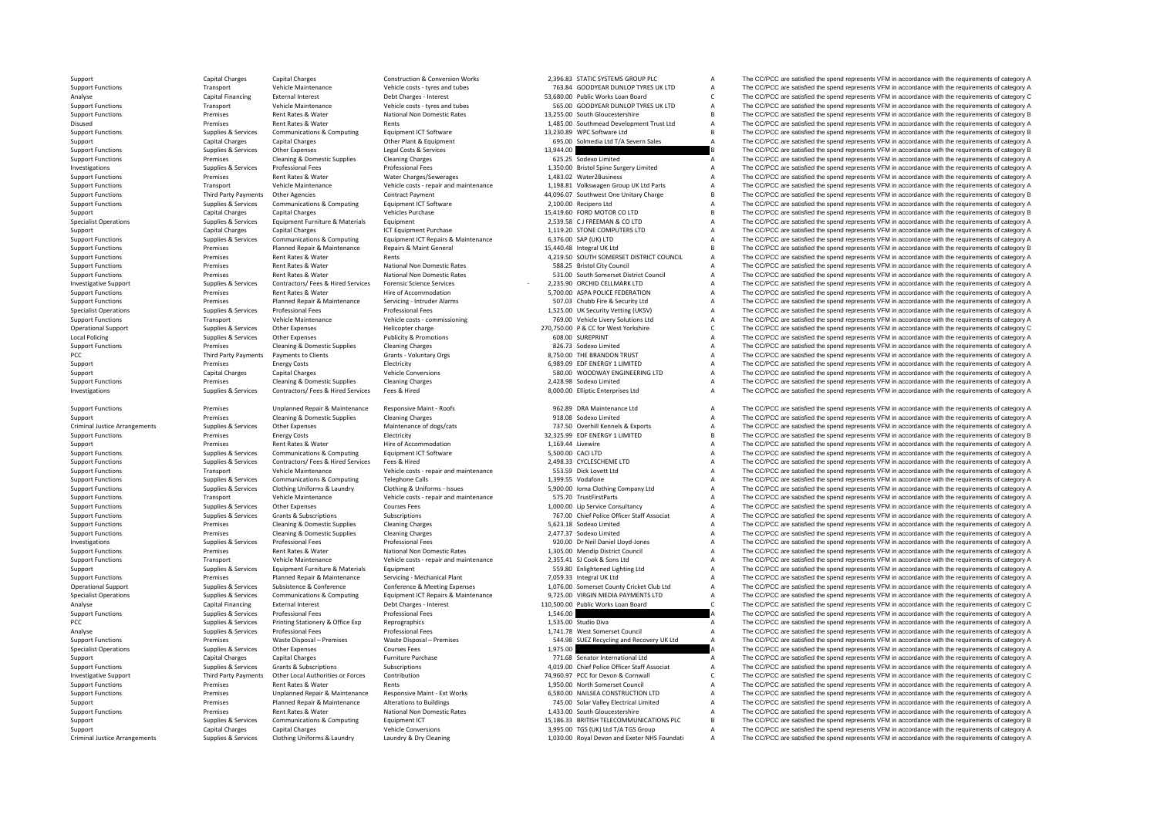Disused Premises Rent**Local Policing** PCC **Third Party Payments** Criminal JusticeCriminal Justice

Rates &

Support Capital Charges Capital Charges Capital Charges Construction & Conversion Works 2,396.83 STATIC SYSTEMS GROUP PLC A The CC/PCC are satisfied the spend represents VFM in accordance with the requirements of category Support Functions Transport Vehicle Maintenance Vehicle costs – tyres and tubes 763.84 GOODYEAR DUNLOP TYRES UK LTD A The CC/PCC are satisfied the spend represents VFM in accordance with the requirements of category A Cate Analyse Capital Financing External Interest Debt Charges Interest Debt Charges Loan Board C The CC/PCC are satisfied the spend represents VFM in accordance with the sequirements of category C Debt Category C The CC/PCC are Support Functions Transport Vehicle Maintenance Vehicle Costs – tyres and tubes 565.00 GOODYEAR DUNLOP TYRES UK LTD A The CC/PCC are satisfied the spend represents VFM in accordance with the requirements of category B<br>Supp Support Functions Premises Assembly Premises Rent Rates Assembly The CC/PCC are satisfied the spend represents VFM in accordance with the requirements of category B The CC/PCC are satisfied the spend represents VFM in acco Rents 1,485.00 Southmead Development Trust Ltd A The CC/PCC are satisfied the spend represents VFM in accordance with the requirements of category A Support Functions Supplies & Services Communications Support Communications and the COPC are support ICT Software Learner Ltd B The CC/PCC are satisfied the spend represents VFM in accordance with the requirements of categ Support Capital Charges Capital Charges Other Plant & Equipment 695.00 Solmedia Ltd T/A Severn Sales A The CC/PCC are satisfied the spend represents VFM in accordance with the requirements of category A Support Functions Supplies & Services Other Expenses Legal Costs & Services Legal Costs & Services Legal Costs & Services 13,944.00 B The CC/PCC are satisfied the spend represents VFM in accordance with the requirements of Support Functions Premises Cleaning & Domestic Supplies Cleaning Charges Cleaning Charges 625.25 Sodexo Limited A The CC/PCC are satisfied the spend represents VFM in accordance with the requirements of category A Investigations Supplies Services Professional Fees Professional Fees 1,350.00 Bristol Spine Surgery Limited A The CC/PCC are satisfied the spend represents VFM in accordance with the requirements of category A Support Functions Premises Rent Rates & Water Water Water Charges/Sewerages 1,483.02 Water2Business A The CC/PCC are satisfied the spend represents VFM in accordance with the requirements of category A Support Functions Tr Transport Vehicle Maintenance Vehicle Costs - repair and maintenance 1.198.81 Volkswagen Group UK Ltd Parts A The CC/PCC are satisfied the spend represents VFM in accordance with the requirements of category A Contract Par Support Third Payment May a third Payment Agencies Contract Payment Contract Payment Contract Payment Contract Payment Contract Payment Contract Payment Contract Payment Contract Payment Agencies Contract Payment Contract Support Functions Supplies & Supplies & Supplies Communications & Computing Equipment ICT Software 2,100.00 Recipero Ltd A The CC/PCC are satisfied the spend represents VFM in accordance with the requirements of category A Support Capital Charges Capital Charges Vehicles Purchase 15,419.60 FORD MOTOR CO LTD B The CC/PCC are satisfied the spend represents VFM in accordance with the requirements of category B Specialist Operations Supplies & Services Equipment Furniture & Materials Equipment 2000 2,539.58 C J FREEMAN & CO LTD A The CC/PCC are satisfied the spend represents VFM in accordance with the requirements of category A Support Capital Charges Capital Charges Capital Charges ICT Equipment Purchase 1,119.20 STONE COMPUTERS LTD A The CC/PCC are satisfied the spend represents VFM in accordance with the requirements of category A Support Furc Support Functions Support Functions Computing Equipment ICT Repairs & Maintenance 6,376.00 SAP (UK) LTD A The CC/PCC are satisfied the spend represents VFM in accordance with the requirements of category A 15,440.48 Integr Support Functions Premises Planned Repair & Maintenance Repairs & Maint General 15,440.48 Integral UK Ltd B The CC/PCC are satisfied the spend represents VFM in accordance with the requirements of category B Support Functi Support Functions Premises Rent Rates & Water Rents Rents Rents Rents And Rents 4,219.50 SOUTH SOMERSET DISTRICT COUNCIL A The CC/PCC are satisfied the spend represents VFM in accordance with the requirements of category A Support Functions Premises Rent Rates & Water Mational Non Domestic Rates Sacks and the Sacks and the COME of The CC/PCC are satisfied the spend represents VFM in accordance with the requirements of category A Support Func Support Functions Premises Rent Rates & Water National Non Domestic Rates Sachinal Non Domestic Rates Support Council A The CC/PCC are satisfied the spend represents VFM in accordance with the requirements of category A In Investigative Support Supplies & Services Contractors/ Fees & Hired Services Forensic Science Services 2,235.90 ‐ ORCHID CELLMARK LTD <sup>A</sup> The CC/PCC are satisfied the spend represents VFM in accordance with the requirements of category A Premises Rent Rates & Water Hire of Accommodation 5,700.00 ASPA POLICE FEDERATION A The CC/PCC are satisfied the spend represents VFM in accordance with the requirements of category A Support Functions Premises Planned Repair & Maintenance Servicing - Intruder Alarms 507.03 Chubb Fire & Security Ltd A The CC/PCC are satisfied the spend represents VFM in accordance with the requirements of category A Spe Specialist Operations Supplies & Services Professional Fees Professional Fees Professional Fees Professional Fees Professional Fees Professional Fees Professional Fees Professional Fees Professional Fees And the Security V Support Functions Control Control Control Control Control Control Control Control Control Control Control Control Control Control Control Control Control Control Control Control Control Control Control Control Control Cont Operational Support Support Support Support Other Expenses Property Helicopter charge 270,000 P & CC for West Yorkshire C The CC/PCC are satisfied the spend represents VFM in accordance with the requirements of category C Local Policing Supplies Policing Supplies Supplies Supplies Other Expenses Publicity & Promotions Publicity & Promotions 608.00 SUREPRINT A The CC/PCC are satisfied the spend represents VFM in accordance with the requireme Support Functions Premises Club Cleaning A The CC/PCC are satisfied the spend represents VFM in accordance with the requirements of category A The CripCC are satisfied the spend represents VFM in accordance with the requir Payments to Clients Cramics Cramics of Cramics of Cramics of Cramics Cramics Cramics Cramics Cramics Cramics Cramics Cramics A The CC/PCC are satisfied the spend represents VFM in accordance with the requirements of catego Support Premises Energy Costs Energy Costs Electricity Electricity and the Support Energy Costs Electricity and the requirements of category A The CC/PCC are satisfied the spend represents VFM in accordance with the requir Support Capital Charges Capital Charges Vehicle Conversions SRO.00 WOODWAY ENGINEERING LTD A The CC/PCC are satisfied the spend represents VFM in accordance with the requirements of category A Support Functions Premises Cleaning & Domestic Supplies Cleaning Charges Cleaning Charges 2,428.98 Sodexo Limited A The CC/PCC are satisfied the spend represents VFM in accordance with the requirements of category A Investigations Supplies Services Contractors/ Fees & Hired Services Fees & Hired 8,000.00 Elliptic Enterprises Ltd A The CC/PCC are satisfied the spend represents VFM in accordance with the requirements of category A Support Functions Premises Unplanned Repair & Maintenance Responsive Maint - Roofs 962.89 DRA Maintenance Ltd A The CC/PCC are satisfied the spend represents VFM in accordance with the requirements of category A Support Pr Support Premises Cleaning & Domestic Supplies Cleaning Charges Cleaning Charges 918.08 Sodexo Limited A The CC/PCC are satisfied the spend represents VFM in accordance with the requirements of category A Arrangements of the Companies of Maintenance of dogs/cats Maintenance of dogs/cats 737.50 Overhill Kennels & Exports A The CC/PCC are satisfied the spend represents VFM in accordance with the requirements of category A Ele Support Functions Premises Energy Costs Energy Costs Electricity and the Support of the Support Energy Costs Energy Costs Energy Are are satisfied the spend represents VFM in accordance with the requirements of category B Support Premises Rent Rates & Water Hire of Accommodation Hire of Accommodation 1,169.44 Livewire A The CC/PCC are satisfied the spend represents VFM in accordance with the requirements of category A Support Functions Supplies & Supplies & Services Communications & Computing Equipment ICT Software Equipment ICT Software 5,500.00 CACI LTD A The CC/PCC are satisfied the spend represents VFM in accordance with the require Support Functions Supplies & Services Contractors/ Fees & Hired Services Fees & Hired Hired Pees & Hired Services Fees & Hired Pees & Hired Pees & Hired 2,498.33 CYCLESCHEME LTD A The CC/PCC are satisfied the spend represe Transport Vehicle Maintenance Vehicle costs - repair and maintenance 553.59 Dick Lovett Ltd A The CC/PCC are satisfied the spend represents VFM in accordance with the requirements of category A Supplies & Services Communic Support Functions Supplies & Supplies & Supplies Communications & Computing Telephone Calls Computing Telephone Calls 1,399.55 Vodafone A The CC/PCC are satisfied the spend represents VFM in accordance with the requirement Support Functions Supplies & Services Clothing Uniforms & Laundry Clothing & Uniforms - Issues 5,900.00 Ioma Cothing Company Ltd A The CC/PCC are satisfied the spend represents VFM in accordance with the requirements of ca Transport Vehicle Maintenance Vehicle costs - repair and maintenance 575.70 TrustFirstParts A The CC/PCC are satisfied the spend represents VFM in accordance with the requirements of category A Support Functions Supplies & Services Other Expenses Courses Fees Courses Courses Fees 1,000.00 Lip Service Consultancy A The CC/PCC are satisfied the spend represents VFM in accordance with the requirements of category A Support Functions Subscriptions Subscriptions and the Subscriptions Subscriptions Subscriptions Correct Communications 767.00 Chief Police Officer Staff Associat A The CC/PCC are satisfied the spend represents VFM in accor Support Functions Premises Cleaning & Domestic Supplies Cleaning Charges Cleaning Charges 5,623.18 Sodexo Limited A The CC/PCC are satisfied the spend represents VFM in accordance with the requirements of category A Support Functions Premises Cleaning & Domestic Supplies Cleaning Charges Cleaning Charges 2,477.37 Sodexo Limited A The CC/PCC are satisfied the spend represents VFM in accordance with the requirements of category A Direct Investigations Supplies & Services Professional Fees Professional Fees Professional Fees 920.00 Dr Neil Daniel Lloyd-Jones A The CC/PCC are satisfied the spend represents VFM in accordance with the requirements of category Support Functions Premises Rent Rates & Water National Non Domestic Rates 1,305.00 Mendip District Council A The CC/PCC are satisfied the spend represents VFM in accordance with the requirements of category A The Creation Support Functions Transport Vehicle Maintenance Vehicle Costs - repair and maintenance 2,355.41 SJ Cook & Sons Ltd A The CC/PCC are satisfied the spend represents VFM in accordance with the requirements of category A Suppo Support Supplies & Services Equipment Furniture & Materials Equipment Support Support Support Support Support Support A The CC/PCC are satisfied the spend represents VFM in accordance with the requirements of category A Support Functions Premises Planned Repair & Maintenance Servicing - Mechanical Plant 7,059.33 Integral UK Ltd A The CC/PCC are satisfied the spend represents VFM in accordance with the requirements of category A Operationa Operational Support Supplies & Supplies & Services Subsistence & Conference Conference Conference & Meeting Expenses 1,076.00 Somerset County Cricket Club Ltd A The CC/PCC are satisfied the spend represents VFM in accordan Supplies & Services Communications & Computing Equipment ICT Repairs & Maintenance 9,725.00 VIRGIN MEDIA PAYMENTS LTD A The CC/PCC are satisfied the spend represents VFM in accordance with the requirements of category A Capital Financing External Interest Debt Charges - Interest 110,500.00 Public Works Loan Board C The CC/PCC are satisfied the spend represents VFM in accordance with the requirements of category C Support Functions Supplies & Services Professional Fees Professional Fees Professional Fees Professional Fees Professional Fees 1,546.00 A The CC/PCC are satisfied the spend represents VFM in accordance with the requiremen The CC/PCC are satisfied the spend represents VFM in accordance with the requirements of category A Analyse Supplies & Services Professional Fees Professional Fees Professional Fees Professional Fees Professional Fees Professional Fees 1,741.78 West Somerset Council A The CC/PCC are satisfied the spend represents VFM in Support Functions Premises Waste Disposal – Premises Waste Disposal – Premises Premises Support Functions and Recovery UK Ltd A The CC/PCC are satisfied the spend represents VFM in accordance with the requirements of categ The CC/PCC are satisfied the spend represents VFM in accordance with the requirements of category A Support Capital Charges Capital Charges Furniture Purchase 771.68 Senator International Ltd A The CC/PCC are satisfied the spend represents VFM in accordance with the requirements of category A Support Functions Supplies & Services Grants & Subscriptions Subscriptions Subscriptions Subscriptions Subscriptions and A The CC/PCC are satisfied the spend represents VFM in accordance with the requirements of category A Third Party Payments Other Local Authorities or Forces Contribution Changed Computer TA 2560.97 PCC for Devon & Commuall C The CC/PCC are satisfied the spend represents VFM in accordance with the requirements of category C Support Functions Premises Rent Rates & Water Rents Rents Rents Rents and the Support Premises Rent Rates Rent Rents Rents Rents Rents 1,950.00 North Somerset Council A The CC/PCC are satisfied the spend represents VFM in Support Functions Premises Unplanned Repair & Maintenance Responsive Maint - Ext Works 6,580.00 NAILSEA CONSTRUCTION LTD A The CC/PCC are satisfied the spend represents VFM in accordance with the requirements of category A Support Premises Planned Repair & Maintenance Alterations to Buildings 745.00 Solar Valley Electrical Limited A The CC/PCC are satisfied the spend represents VFM in accordance with the requirements of category A Support Fu Support Functions Premises Rent Rates & Water National Non Domestic Rates 1,433.00 South Gloucestershire A The CC/PCC are satisfied the spend represents VFM in accordance with the requirements of category A Support A Suppo Support Supplies & Services Communications & Computing Equipment ICT 15,186.33 BRITISH TELECOMMUNICATIONS PLC B The CC/PCC are satisfied the spend represents VFM in accordance with the requirements of category B Support Capital Charges Capital Charges Vehicle Conversions 3,995.00 TGS (UK) Ltd TGS Group A The CC/PCC are satisfied the spend represents VFM in accordance with the requirements of category A Supplies & Services Clothing Uniforms & Laundry Laundry & Dry Cleaning Mayol David A 1,030.00 Royal Devon and Exeter NHS Foundati A The CC/PCC are satisfied the spend represents VFM in accordance with the requirements of c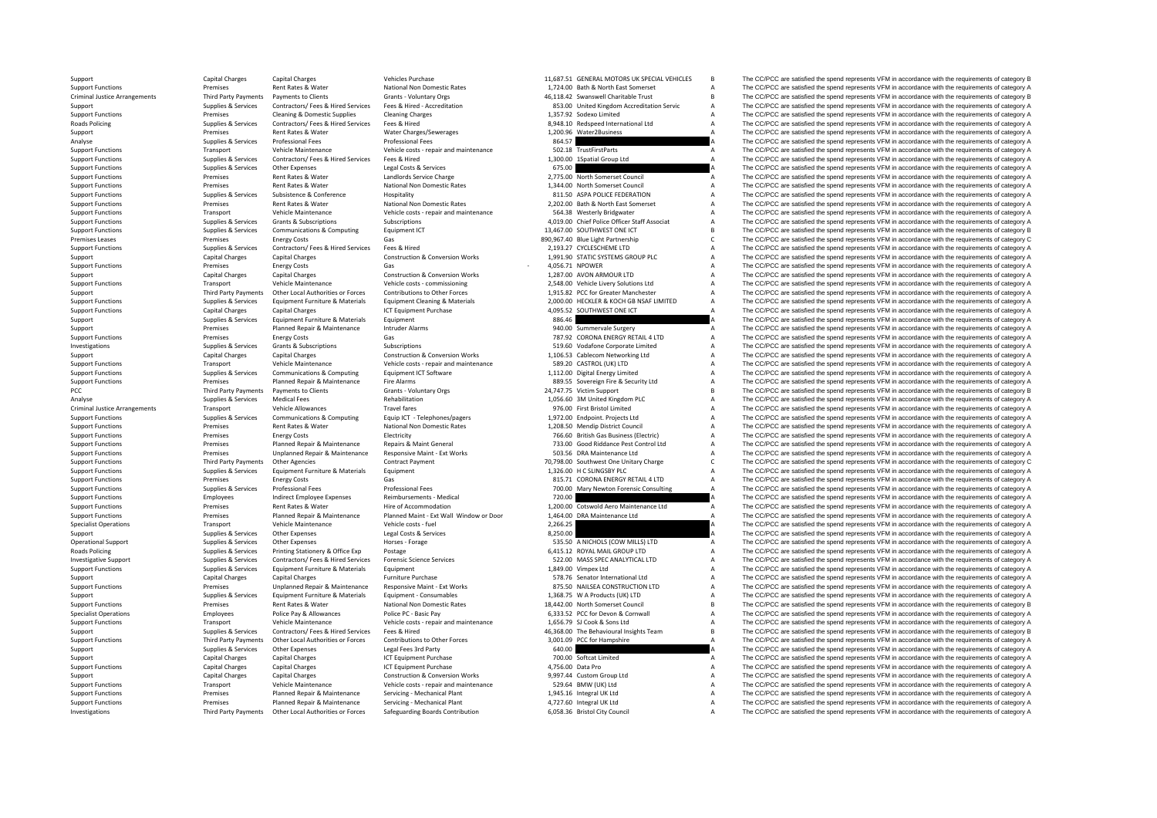Criminal JusticeRoads Policing Premises**PCC Third Party Payments** Criminal Justice**Roads Policing** 

|           | 11,687.51 GENERAL MOTORS UK SPECIAL VEHICLES                        | B      |
|-----------|---------------------------------------------------------------------|--------|
| 1,724.00  | Bath & North East Somerset                                          | A      |
|           | 46,118.42 Swanswell Charitable Trust                                | B      |
| 853.00    | United Kingdom Accreditation Servic                                 | A      |
|           | 1,357.92 Sodexo Limited                                             | A<br>A |
| 1,200.96  | 8,948.10 Redspeed International Ltd                                 | A      |
| 864.57    | Water2Business                                                      | A      |
| 502.18    | TrustFirstParts                                                     | A      |
| 1,300.00  | 1Spatial Group Ltd                                                  | A      |
| 675.00    |                                                                     | A      |
|           | 2,775.00 North Somerset Council                                     | A      |
|           | 1,344.00 North Somerset Council                                     | A      |
|           | 811.50 ASPA POLICE FEDERATION                                       | A      |
| 2,202.00  | Bath & North East Somerset                                          | A      |
| 564.38    | <b>Westerly Bridgwater</b>                                          | Α      |
|           | 4,019.00 Chief Police Officer Staff Associat                        | A      |
|           | 13,467.00 SOUTHWEST ONE ICT                                         | B      |
|           | 890,967.40 Blue Light Partnership                                   | C      |
| 2,193.27  | CYCLESCHEME LTD                                                     | A      |
|           | 1,991.90 STATIC SYSTEMS GROUP PLC                                   | A      |
|           | 4,056.71 NPOWER                                                     | A<br>A |
|           | 1,287.00 AVON ARMOUR LTD<br>2,548.00 Vehicle Livery Solutions Ltd   | A      |
|           | 1,915.82 PCC for Greater Manchester                                 | A      |
|           | 2,000.00 HECKLER & KOCH GB NSAF LIMITED                             | A      |
|           | 4,095.52 SOUTHWEST ONE ICT                                          | A      |
| 886.46    |                                                                     | A      |
| 940.00    | Summervale Surgery                                                  | A      |
|           | 787.92 CORONA ENERGY RETAIL 4 LTD                                   | A      |
| 519.60    | Vodafone Corporate Limited                                          | A      |
|           | 1,106.53 Cablecom Networking Ltd                                    | A      |
|           | 589.20 CASTROL (UK) LTD                                             | A      |
| 1,112.00  | <b>Digital Energy Limited</b>                                       | A      |
| 889.55    | Sovereign Fire & Security Ltd                                       | A      |
|           | 24,747.75 Victim Support                                            | B      |
|           | 1,056.60 3M United Kingdom PLC                                      | A      |
|           | 976.00 First Bristol Limited                                        | A      |
|           | 1,972.00 Endpoint. Projects Ltd<br>1,208.50 Mendip District Council | A<br>A |
|           | 766.60 British Gas Business (Electric)                              | A      |
|           | 733.00 Good Riddance Pest Control Ltd                               | A      |
|           | 503.56 DRA Maintenance Ltd                                          | A      |
|           | 70,798.00 Southwest One Unitary Charge                              | C      |
| 1,326.00  | H C SLINGSBY PLC                                                    | A      |
|           | 815.71 CORONA ENERGY RETAIL 4 LTD                                   | A      |
| 700.00    | Mary Newton Forensic Consulting                                     | A      |
| 720.00    |                                                                     | A      |
| 1.200.00  | Cotswold Aero Maintenance Ltd                                       | A      |
|           | 1,464.00 DRA Maintenance Ltd                                        | A      |
| 2,266.25  |                                                                     | A      |
| 8,250.00  |                                                                     | A      |
|           | 535.50 A NICHOLS (COW MILLS) LTD                                    | A      |
|           | 6,415.12 ROYAL MAIL GROUP LTD<br>522.00 MASS SPEC ANALYTICAL LTD    | A<br>A |
|           | 1,849.00 Vimpex Ltd                                                 | A      |
|           | 578.76 Senator International Ltd                                    | A      |
| 875.50    | NAILSEA CONSTRUCTION LTD                                            | A      |
| 1,368.75  | W A Products (UK) LTD                                               | A      |
| 18,442.00 | North Somerset Council                                              | B      |
| 6,333.52  | PCC for Devon & Cornwall                                            | A      |
| 1,656.79  | SJ Cook & Sons Ltd                                                  | A      |
| 46,368.00 | The Behavioural Insights Team                                       | B      |
|           | 3,001.09 PCC for Hampshire                                          | A      |
| 640.00    |                                                                     | A      |
|           | 700.00 Softcat Limited                                              | A      |
|           | 4,756.00 Data Pro                                                   | A      |
|           | 9,997.44 Custom Group Ltd                                           | А      |
|           | 529.64 BMW (UK) Ltd                                                 | A      |
|           | 1,945.16 Integral UK Ltd                                            | A<br>A |
|           | 4,727.60 Integral UK Ltd                                            | A      |
|           | 6,058.36 Bristol City Council                                       |        |

Support Capital Charges Capital Charges Vehicles Purchase Vehicles Purchase 11,687.51 GENERAL MOTORS UK SPECIAL VEHICLES B The CC/PCC are satisfied the spend represents VFM in accordance with the requirements of category B Support Functions Premises Rent Rates & Water National Non Domestic Rates 1,724.00 Bath & North East Somerset A The CC/PCC are satisfied the spend represents VFM in accordance with the requirements of category A Third Party Payments Payments to Clients<br>
Grants Violuntary Orgs Grants-Voluntary Orgs 46,118.42 Swanswell Charitable Trust B The CC/PCC are satisfied the spend represents VFM in accordance with the requirements of categor Supplies & Services Contractors/ Fees & Hired Services Fees & Hired Accreditation Manus and a metal and the discussion of the CC/PCC are satisfied the spend represents VFM in accordance with the requirements of category A<br> Examises Cleaning & Domestic Supplies Cleaning Charges Cleaning Charges and the Support of the COMEC are satisfied the spend represents VFM in accordance with the requirements of category A Supplies Cleaning A The CC/PCC a Policing Supplies Asservices Contractors Contractors Contractors Contractors Fees & Hired Services Contractors A The CC/PCC are satisfied the spend represents VFM in accordance with the requirements of category A Support Premises Rent Rates & Water Water Charges/Sewerages A The CC/PCC are satisfied the spend represents VFM in accordance with the requirements of category A The CC/PCC are satisfied the spend represents VFM in accorda Analyse Supplies & Services Professional Fees Professional Fees 864.57 A The CC/PCC are satisfied the spend represents VFM in accordance with the requirements of category A Support Functions Transport Vehicle Maintenance Vehicle costs - repair and maintenance Vehicle costs - repair and maintenance of the SC/PCC are satisfied the spend represents VFM in accordance with the requirements of cate Support Functions Supplies & Services Contractors/ Fees & Hired Services Fees & Hired 1,300.00 1Spatial Group Ltd A The CC/PCC are satisfied the spend represents VFM in accordance with the requirements of category A Servic Support Functions Supplies & Services Other Expenses Legal Costs & Services Legal Costs Correct Costs Correct Costs COST COSTS CONTINUES CONTINUES A The CC/PCC are satisfied the spend represents VFM in accordance with the Support Functions Premises Rent Rates & Water Machines Landlords Service Charge 2,775.00 North Somerset Council A The CC/PCC are satisfied the spend represents VFM in accordance with the requirements of category A Support Support Functions Premises Rent Rates & Water National Non Domestic Rates 1,344.00 North Somerset Council A The CC/PCC are satisfied the spend represents VFM in accordance with the requirements of category A Support Functi Supplies & Services Subsistence Supportence Hospitality and Hospitality and Hospitality and the Support of the CONFERATION A The CC/PCC are satisfied the spend represents VFM in accordance with the requirements of category Support Functions Premises Rent Rates & Water National Non Domestic Rates 2,202.00 Bath & North East Somerset A The CC/PCC are satisfied the spend represents VFM in accordance with the requirements of category A Support Functions Transport Vehicle Maintenance Vehicle Costs - repair and maintenance 564.38 Westerly Bridgwater A The CC/PCC are satisfied the spend represents VFM in accordance with the requirements of category A Suppor Support Functions Supplies & Services Grants & Subscriptions Subscriptions Subscriptions Subscriptions Subscriptions A A The CC/PCC are satisfied the spend represents VFM in accordance with the requirements of category A Support Functions Supplies Services Communications & Computing Equipment ICT 13,467.00 SOUTHWEST ONE ICT R The CC/PCC are satisfied the spend represents VFM in accordance with the requirements of category B Premises Energy Costs Gas Gas Gas Gas Control and the COST Supplements of category C The CC/PCC are satisfied the spend represents VFM in accordance with the requirements of category C<br>Contractors/ Fees & Hired Services Fe Support Functions Supplies & Services Contractors/ Fees & Hired Services Fees & Hired Services Fees & Hired Services Fees & Hired Services Fees & Hired Services Fees & Hired 2,193.27 CYCLESCHEME LTD A The CC/PCC are satisf Support Capital Charges Capital Charges Capital Charges Construction & Conversion Works 1,991.90 STATIC SYSTEMS GROUP PLC A The CC/PCC are satisfied the spend represents VFM in accordance with the requirements of category Support Functions Fremises Energy Costs Gas Gas Gas 4,056.71 NPOWER A The CC/PCC are satisfied the spend represents VFM in accordance with the requirements of category A Support Capital Charges Capital Charges Capital Charges Construction & Conversion Works 1,287.00 AVON ARMOUR LTD A The CC/PCC are satisfied the spend represents VFM in accordance with the requirements of category A Support Transport Vehicle Maintenance Vehicle costs – commissioning 2,548.00 Vehicle Livery Solutions Ltd A The CC/PCC are satisfied the spend represents VFM in accordance with the requirements of category A Third Party Party Part Third Party Payments Other Local Authorities or Forces Contributions to Other Forces 1.915.82 PCC for Greater Manchester A The CC/PCC are satisfied the spend represents VFM in accordance with the requirements of category A Supplies & Services Equipment Furniture & Materials Equipment Cleaning & Materials and a concercible and the COPCC are satisfied the spend represents VFM in accordance with the requirements of category A<br>
Support Functions Support Functions Capital Charges Capital Charges Capital Charges ICT Equipment Purchase ICT Equipment Purchase 4,095.52 SOUTHWEST ONE ICT A The CC/PCC are satisfied the spend represents VFM in accordance with the requirem Support Support Support Equipment Equipment Category A Support of the CO/PCC are satisfied the spend represents VFM in accordance with the requirements of category A The CO/PCC are satisfied the spend represents VFM in acc Support Premises Planned Repair & Maintenance Intruder Alarms 940.00 Summervale Surgery A The CC/PCC are satisfied the spend represents VFM in accordance with the requirements of category A Support Functions Surgery A The Support Functions Premises Energy Costs Gas Costs Gas Costs Gas Costs Gas 787.92 CORONA ENERGY RETAIL 4 LTD A The CC/PCC are satisfied the spend represents VFM in accordance with the requirements of category A represents V Supplies & Services Grants & Subscriptions Subscriptions Subscriptions Subscriptions Subscriptions Subscriptions Subscriptions Subscriptions Subscriptions Subscriptions Subscriptions Subscriptions Subscriptions and the CC/ Support Capital Charges Capital Charges Capital Charges Construction & Conversion Works 1,106.53 Cablecom Networking Ltd A The CC/PCC are satisfied the spend represents VFM in accordance with the requirements of category A Support Functions Transport Vehicle Maintenance Vehicle costs – repair and maintenance 589.20 CASTROL (UK) LTD A The CC/PCC are satisfied the spend represents VFM in accordance with the requirements of category A Support F Supporters Communications & Computing Equipment ICT Software 1,112.00 Digital Energy Limited A The CC/PCC are satisfied the spend represents VFM in accordance with the requirements of category A Support Functions Premises Planned Repair & Maintenance Fire Alarms 889.55 Sovereign Fire & Security Ltd A The CC/PCC are satisfied the spend represents VFM in accordance with the requirements of category A The CC/PC are s Payments to Clients Grants - Voluntary Orgs 24,247.75 Victim Support B The CC/PCC are satisfied the spend represents VFM in accordance with the requirements of category B Analyse Supplies Supplies Analyse Supplies Analyse Supplies & Services Medical Fees Rehabilitation 1,056.60 3M United Kingdom PLC A The CC/PCC are satisfied the spend represents VFM in accordance with the requirements of c Transport Vehicle Allowances Travel fares Travel fares Travel fares and the SCO, First Bristol Limited A The CC/PCC are satisfied the spend represents VFM in accordance with the requirements of category A Supporter the Sup Support Functions Support Support Support Support Communications & Computing Equip CT - Telephones/pagers 1.972.00 Endpoint. Projects Ltd A The CC/PCC are satisfied the spend represents VFM in accordance with the requireme Support Functions Premises Rent Rates & Water National Non Domestic Rates 1,208.50 Mendip District Council A The CC/PCC are satisfied the spend represents VFM in accordance with the requirements of category A Support Functions Premises Energy Costs Energy Costs Electricity Electricity Electricity Electricity Electricity Electricity and The CC/PCC are satisfied the spend represents VFM in accordance with the requirements of cate Premises Planned Repair & Maintenance Repairs & Maint General 733.00 Good Riddance Pest Control Ltd A The CC/PCC are satisfied the spend represents VFM in accordance with the requirements of category A Support Functions Premises Unplanned Repair & Maintenance Responsive Maint - Ext Works 503.56 DRA Maintenance Ltd A The CC/PCC are satisfied the spend represents VFM in accordance with the requirements of category A Support Functions Third Party Payments Other Agencies Contract Payment Contract Payment 70,798.00 Southwest One Unitary Charge C The CC/PCC are satisfied the spend represents VFM in accordance with the requirements of cate The CC/PCC are satisfied the spend represents VFM in accordance with the requirements of category A Support Functions Premises Energy Costs Gas Gas Based Category A St.71 CORONA ENERGY RETAIL 4 LTD A The CC/PCC are satisfied the spend represents VFM in accordance with the requirements of category A Support Functions Supplies & Services Professional Fees Professional Fees Professional Fees Professional Fees Professional Fees Professional Fees Professional Fees Professional Fees Professional Fees Professional Fees Medi Employees Indirect Employee Expenses Reimbursements - Medical 720.00 720.00 A The CC/PCC are satisfied the spend represents VFM in accordance with the requirements of category A Support Functions Premises Premises Rent Rates & Water Hire of Accommodation 1,200.00 Cotswold Aero Maintenance Ltd A The CC/PCC are satisfied the spend represents VFM in accordance with the requirements of category A Supp Support Functions Support Premises Planned Repair & Maintenance Planned Maint - Ext Wall Window or Door 1,464.00 DRA Maintenance Ltd A The CC/PCC are satisfied the spend represents VFM in accordance with the requirements o Transport Vehicle Maintenance Vehicle costs ‐ fuel 2,266.25 2,266.25 A The CC/PCC are satisfied the spend represents VFM in accordance with the requirements of category A Support Supplies & Services Other Expenses Legal Costs & Services Back and the Same Support A The CC/PCC are satisfied the spend represents VFM in accordance with the requirements of category A Decretional Support Support Opplies & Services Other Expenses Horses - Forage Horses - Forage S35.50 ANICHOLS (COW MILLS) LTD A The CC/PCC are satisfied the spend represents VFM in accordance with the requirements of category A Supporters and the req Supplies & Services Printing Stationery & Office Exp Postage 6,415.12 ROYAL MAIL GROUP LTD A The CC/PCC are satisfied the spend represents VFM in accordance with the requirements of category A Investigative Support and the complete Supplies & Supplies & Supplies & Support Contractors/ Fees & Hired Services Forensic Science Services Forensic Science Services Contractors/ Fees and Forensic Science Services Support Support Functions Supplies & Supplies & Support Equipment Furniture & Materials Equipment Equipment Equipment<br>Support Functional Ltd A Support A The CC/PCC are satisfied the spend represents VFM in accordance with the requ Support Capital Charges Capital Charges Furniture Purchase Furniture Purchase Furniture Purchase Furniture Purchase Support Capital Charges Capital Charges Capital Charges Furniture Purchase Support Furniture Purchase Supp Premises Unplanned Repair & Maintenance Responsive Maint Ext Works 875.50 NAILSEA CONSTRUCTION LTD A The CC/PCC are satisfied the spend represents VFM in accordance with the requirements of category A<br>Sunnlies & Services Support Supplies & Services Equipment Furniture & Materials Equipment - Consumables 1,368.75 W A Products (UK) LTD A The CC/PCC are satisfied the spend represents VFM in accordance with the requirements of category A Support Functions Support Rates Rent Rates Rent Rates Rent Rates National Non Domestic Rates 18,442.00 North Somerset Council B The CC/PCC are satisfied the spend represents VFM in accordance with the requirements of categ Specialist Operations Employees Police Pay & Allowances Police PC · Basic Pay Police PC · Basic Pay Police PC · Basic Pay Police PC · Basic Pay 6,333.52 PCC for Devon & Cornwall A The CC/PCC are satisfied the spend represe The CC/PCC are satisfied the spend represents VFM in accordance with the requirements of category A Support Supplies & Supplies & Services Contractors/ Fees & Hired Services Fees & Hired Hired 46,368.00 The Behavioural Insights Team B The CC/PCC are satisfied the spend represents VFM in accordance with the requirements o Support Functions Third Party Payments Other Local Authorities or Forces Contributions to Other Forces 3,001.09 PCC for Hampshire A The CC/PCC are satisfied the spend represents VFM in accordance with the requirements of c Legal Fees 3rd Party of the CONCC are satisfied the spend represents VFM in accordance with the requirements of category A<br>ICT Equipment Purchase the spend represents VFM in accordance with the requirements of category A<br>I Support Capital Charges Capital Charges ICT Equipment Purchase 700.00 Softcat Limited A The CC/PCC are satisfied the spend represents VFM in accordance with the requirements of category A Support Functions Capital Charges Capital Charges ICT Equipment Purchase 4,756.00 Data Pro A The CC/PCC are satisfied the spend represents VFM in accordance with the requirements of category A Support Capital Charges Capital Charges Construction & Conversion Works 9,997.44 Custom Group Ltd A The CC/PCC are satisfied the spend represents VFM in accordance with the requirements of category A Support Functions Transport Vehicle Maintenance Vehicle costs - repair and maintenance 529.64 BMW (UK) Ltd A The CC/PCC are satisfied the spend represents VFM in accordance with the requirements of category A Support Functions Premises Planned Repair & Maintenance Servicing - Mechanical Plant 1,945.16 Integral UK Itd A The CC/PCC are satisfied the spend represents VFM in accordance with the requirements of category A Support Functions Premises Planned Repair & Maintenance Servicing - Mechanical Plant 4,777.60 Integral UK Itd A The CC/PCC are satisfied the spend represents VFM in accordance with the requirements of category A Third Party Payments Other Local Authorities or Forces Safeguarding Boards Contribution 6058.36 Bristol City Council Manusculi A The CC/PCC are satisfied the spend represents VFM in accordance with the requirements of cate